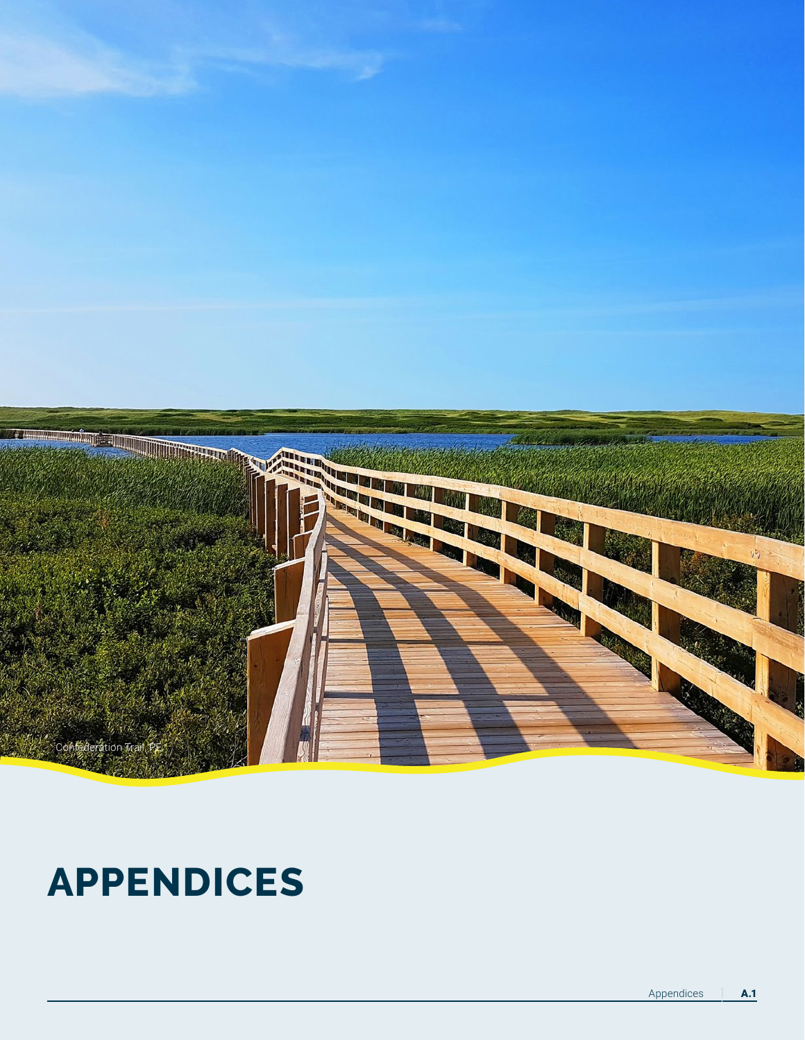## **APPENDICES**

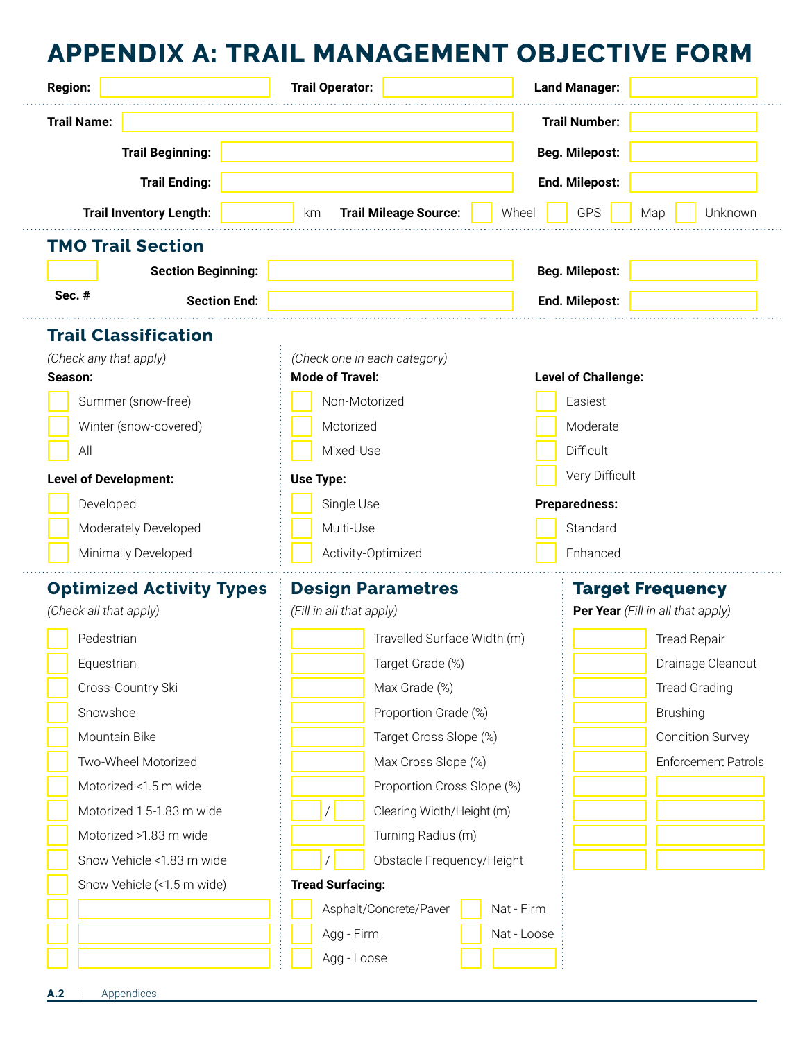#### **APPENDIX A: TRAIL MANAGEMENT OBJECTIVE FORM**

| <b>Region:</b>                                                       | <b>Trail Operator:</b>          |                              |                             | <b>Land Manager:</b> |                            |                                   |  |  |
|----------------------------------------------------------------------|---------------------------------|------------------------------|-----------------------------|----------------------|----------------------------|-----------------------------------|--|--|
| <b>Trail Name:</b>                                                   |                                 |                              |                             |                      | <b>Trail Number:</b>       |                                   |  |  |
|                                                                      | <b>Trail Beginning:</b>         |                              |                             |                      | <b>Beg. Milepost:</b>      |                                   |  |  |
|                                                                      | <b>Trail Ending:</b>            |                              |                             |                      | End. Milepost:             |                                   |  |  |
| <b>Trail Inventory Length:</b><br><b>Trail Mileage Source:</b><br>km |                                 |                              |                             | Wheel                | <b>GPS</b>                 | Unknown<br>Map                    |  |  |
|                                                                      | <b>TMO Trail Section</b>        |                              |                             |                      |                            |                                   |  |  |
|                                                                      | <b>Section Beginning:</b>       |                              |                             |                      | <b>Beg. Milepost:</b>      |                                   |  |  |
| Sec. #                                                               | <b>Section End:</b>             |                              |                             |                      | End. Milepost:             |                                   |  |  |
|                                                                      | <b>Trail Classification</b>     |                              |                             |                      |                            |                                   |  |  |
| (Check any that apply)                                               |                                 | (Check one in each category) |                             |                      |                            |                                   |  |  |
| Season:                                                              |                                 | <b>Mode of Travel:</b>       |                             |                      | <b>Level of Challenge:</b> |                                   |  |  |
|                                                                      | Summer (snow-free)              | Non-Motorized                |                             |                      | Easiest                    |                                   |  |  |
|                                                                      | Winter (snow-covered)           | Motorized                    |                             |                      | Moderate                   |                                   |  |  |
| All                                                                  |                                 | Mixed-Use                    |                             |                      |                            | Difficult                         |  |  |
| <b>Level of Development:</b>                                         |                                 | Use Type:                    |                             |                      |                            | Very Difficult                    |  |  |
| Developed                                                            |                                 | Single Use                   |                             |                      | <b>Preparedness:</b>       |                                   |  |  |
|                                                                      | Moderately Developed            | Multi-Use                    |                             |                      | Standard                   |                                   |  |  |
|                                                                      | Minimally Developed             | Activity-Optimized           |                             |                      | Enhanced                   |                                   |  |  |
|                                                                      | <b>Optimized Activity Types</b> | <b>Design Parametres</b>     |                             |                      |                            | <b>Target Frequency</b>           |  |  |
| (Check all that apply)                                               |                                 | (Fill in all that apply)     |                             |                      |                            | Per Year (Fill in all that apply) |  |  |
| Pedestrian                                                           |                                 |                              | Travelled Surface Width (m) |                      |                            | <b>Tread Repair</b>               |  |  |
| Equestrian                                                           |                                 |                              | Target Grade (%)            |                      |                            | Drainage Cleanout                 |  |  |
|                                                                      | Cross-Country Ski               |                              | Max Grade (%)               |                      |                            | <b>Tread Grading</b>              |  |  |
| Snowshoe                                                             |                                 |                              | Proportion Grade (%)        |                      |                            | <b>Brushing</b>                   |  |  |
|                                                                      | Mountain Bike                   |                              | Target Cross Slope (%)      |                      |                            | <b>Condition Survey</b>           |  |  |
|                                                                      | Two-Wheel Motorized             |                              | Max Cross Slope (%)         |                      |                            | <b>Enforcement Patrols</b>        |  |  |
|                                                                      | Motorized <1.5 m wide           |                              | Proportion Cross Slope (%)  |                      |                            |                                   |  |  |
|                                                                      | Motorized 1.5-1.83 m wide       |                              | Clearing Width/Height (m)   |                      |                            |                                   |  |  |
|                                                                      | Motorized >1.83 m wide          |                              | Turning Radius (m)          |                      |                            |                                   |  |  |
|                                                                      | Snow Vehicle <1.83 m wide       |                              | Obstacle Frequency/Height   |                      |                            |                                   |  |  |
|                                                                      | Snow Vehicle (<1.5 m wide)      | <b>Tread Surfacing:</b>      |                             |                      |                            |                                   |  |  |
|                                                                      |                                 |                              | Asphalt/Concrete/Paver      | Nat - Firm           |                            |                                   |  |  |
|                                                                      |                                 | Agg - Firm                   |                             | Nat - Loose          |                            |                                   |  |  |
|                                                                      |                                 | Agg - Loose                  |                             |                      |                            |                                   |  |  |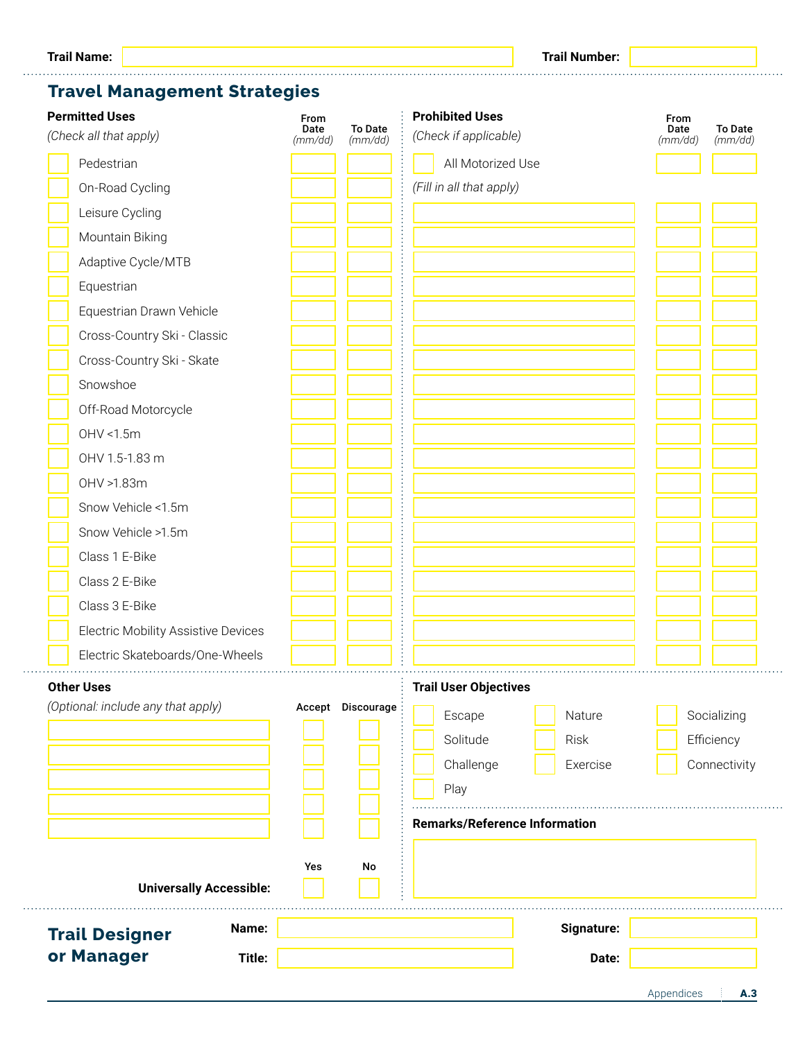#### **Travel Management Strategies**

| <b>Permitted Uses</b><br>(Check all that apply) | From<br>Date<br>(mm/dd) | <b>To Date</b><br>(mm/dd) | <b>Prohibited Uses</b><br>(Check if applicable) |                                      | From<br>Date<br>(mm/dd) | <b>To Date</b><br>(mm/dd) |
|-------------------------------------------------|-------------------------|---------------------------|-------------------------------------------------|--------------------------------------|-------------------------|---------------------------|
| Pedestrian                                      |                         |                           | All Motorized Use                               |                                      |                         |                           |
| On-Road Cycling                                 |                         |                           | (Fill in all that apply)                        |                                      |                         |                           |
| Leisure Cycling                                 |                         |                           |                                                 |                                      |                         |                           |
| Mountain Biking                                 |                         |                           |                                                 |                                      |                         |                           |
| Adaptive Cycle/MTB                              |                         |                           |                                                 |                                      |                         |                           |
| Equestrian                                      |                         |                           |                                                 |                                      |                         |                           |
| Equestrian Drawn Vehicle                        |                         |                           |                                                 |                                      |                         |                           |
| Cross-Country Ski - Classic                     |                         |                           |                                                 |                                      |                         |                           |
| Cross-Country Ski - Skate                       |                         |                           |                                                 |                                      |                         |                           |
| Snowshoe                                        |                         |                           |                                                 |                                      |                         |                           |
| Off-Road Motorcycle                             |                         |                           |                                                 |                                      |                         |                           |
| OHV <1.5m                                       |                         |                           |                                                 |                                      |                         |                           |
| OHV 1.5-1.83 m                                  |                         |                           |                                                 |                                      |                         |                           |
| OHV >1.83m                                      |                         |                           |                                                 |                                      |                         |                           |
| Snow Vehicle <1.5m                              |                         |                           |                                                 |                                      |                         |                           |
| Snow Vehicle >1.5m                              |                         |                           |                                                 |                                      |                         |                           |
| Class 1 E-Bike                                  |                         |                           |                                                 |                                      |                         |                           |
| Class 2 E-Bike                                  |                         |                           |                                                 |                                      |                         |                           |
| Class 3 E-Bike                                  |                         |                           |                                                 |                                      |                         |                           |
| Electric Mobility Assistive Devices             |                         |                           |                                                 |                                      |                         |                           |
| Electric Skateboards/One-Wheels                 |                         |                           |                                                 |                                      |                         |                           |
| <b>Other Uses</b>                               |                         |                           | <b>Trail User Objectives</b>                    |                                      |                         |                           |
| (Optional: include any that apply)              |                         | Accept Discourage         | Escape                                          | Nature                               |                         | Socializing               |
|                                                 |                         |                           | Solitude                                        | <b>Risk</b>                          |                         | Efficiency                |
|                                                 |                         |                           | Challenge                                       | Exercise                             |                         | Connectivity              |
|                                                 |                         |                           | Play                                            |                                      |                         |                           |
|                                                 |                         |                           |                                                 | <b>Remarks/Reference Information</b> |                         |                           |
|                                                 |                         |                           |                                                 |                                      |                         |                           |
|                                                 |                         |                           |                                                 |                                      |                         |                           |
| <b>Universally Accessible:</b>                  | Yes                     | No                        |                                                 |                                      |                         |                           |
| Name:<br><b>Trail Designer</b>                  |                         |                           |                                                 | Signature:                           |                         |                           |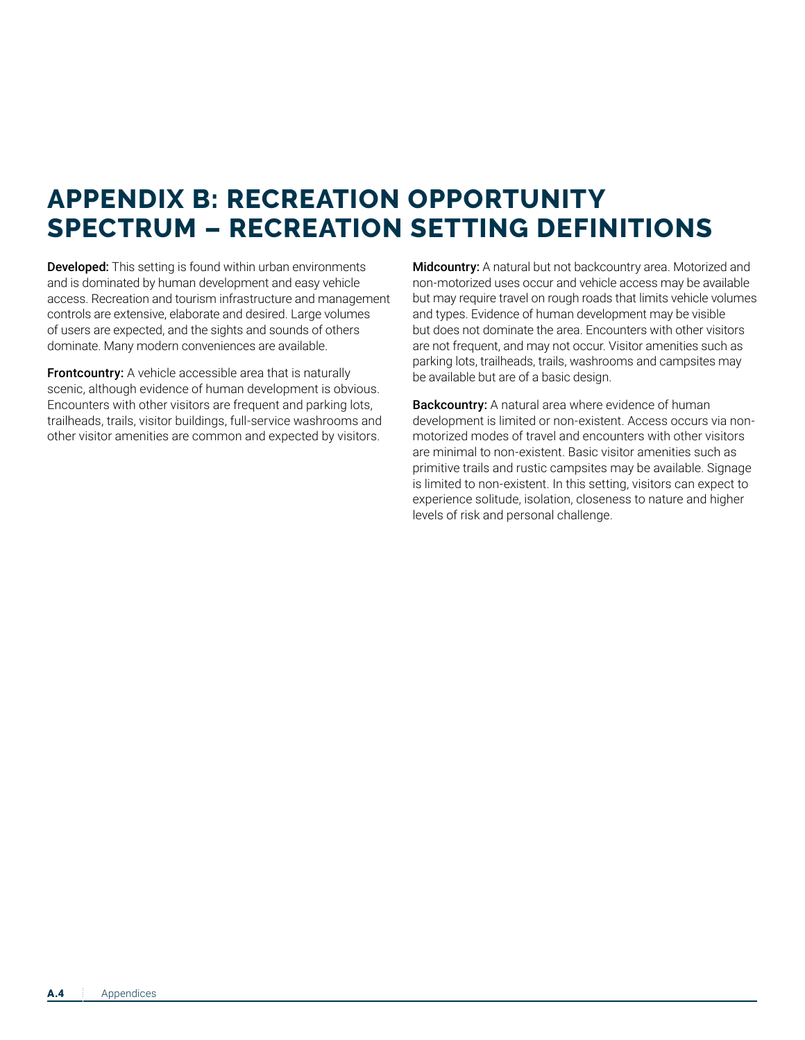#### **APPENDIX B: RECREATION OPPORTUNITY SPECTRUM – RECREATION SETTING DEFINITIONS**

Developed: This setting is found within urban environments and is dominated by human development and easy vehicle access. Recreation and tourism infrastructure and management controls are extensive, elaborate and desired. Large volumes of users are expected, and the sights and sounds of others dominate. Many modern conveniences are available.

**Frontcountry:** A vehicle accessible area that is naturally scenic, although evidence of human development is obvious. Encounters with other visitors are frequent and parking lots, trailheads, trails, visitor buildings, full-service washrooms and other visitor amenities are common and expected by visitors.

Midcountry: A natural but not backcountry area. Motorized and non-motorized uses occur and vehicle access may be available but may require travel on rough roads that limits vehicle volumes and types. Evidence of human development may be visible but does not dominate the area. Encounters with other visitors are not frequent, and may not occur. Visitor amenities such as parking lots, trailheads, trails, washrooms and campsites may be available but are of a basic design.

Backcountry: A natural area where evidence of human development is limited or non-existent. Access occurs via nonmotorized modes of travel and encounters with other visitors are minimal to non-existent. Basic visitor amenities such as primitive trails and rustic campsites may be available. Signage is limited to non-existent. In this setting, visitors can expect to experience solitude, isolation, closeness to nature and higher levels of risk and personal challenge.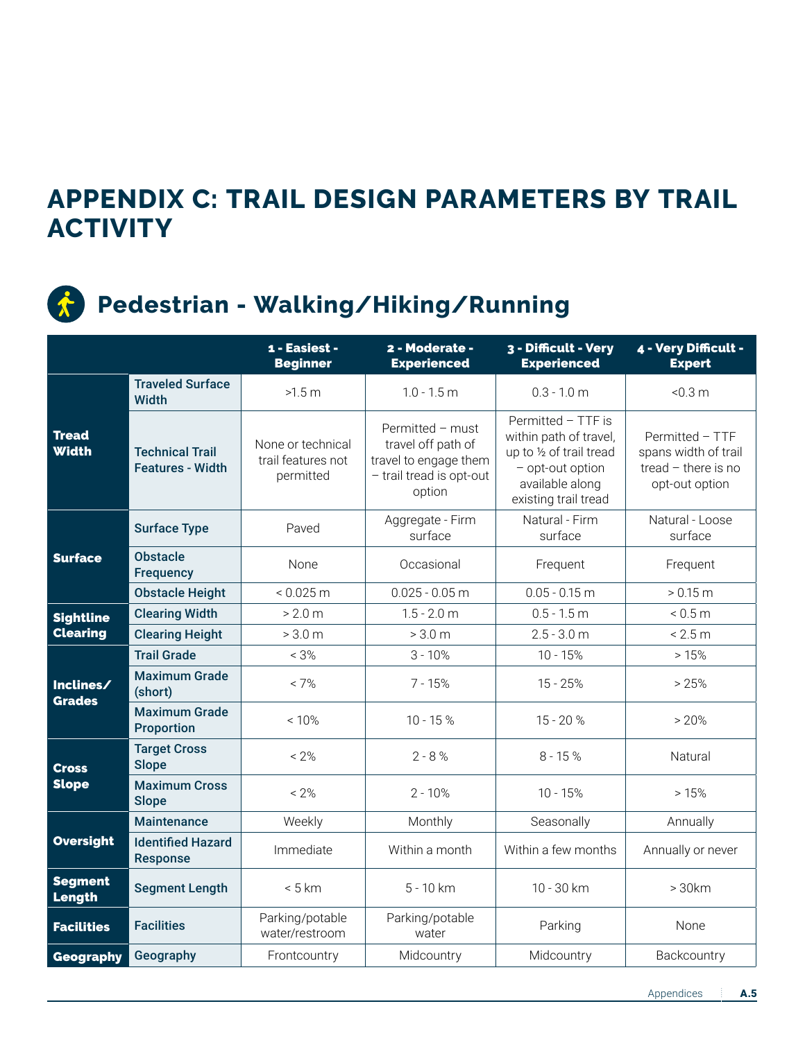#### **APPENDIX C: TRAIL DESIGN PARAMETERS BY TRAIL ACTIVITY**



#### **Pedestrian - Walking/Hiking/Running**

|                              |                                                   | 1 - Easiest -<br><b>Beginner</b>                     | 2 - Moderate -<br><b>Experienced</b>                                                                  | 3 - Difficult - Very<br><b>Experienced</b>                                                                                              | 4 - Very Difficult -<br><b>Expert</b>                                            |  |
|------------------------------|---------------------------------------------------|------------------------------------------------------|-------------------------------------------------------------------------------------------------------|-----------------------------------------------------------------------------------------------------------------------------------------|----------------------------------------------------------------------------------|--|
|                              | <b>Traveled Surface</b><br><b>Width</b>           | >1.5 m                                               | $1.0 - 1.5$ m                                                                                         | $0.3 - 1.0$ m                                                                                                                           | < 0.3 m                                                                          |  |
| <b>Tread</b><br><b>Width</b> | <b>Technical Trail</b><br><b>Features - Width</b> | None or technical<br>trail features not<br>permitted | Permitted - must<br>travel off path of<br>travel to engage them<br>- trail tread is opt-out<br>option | Permitted - TTF is<br>within path of travel,<br>up to 1/2 of trail tread<br>- opt-out option<br>available along<br>existing trail tread | Permitted - TTF<br>spans width of trail<br>tread - there is no<br>opt-out option |  |
|                              | <b>Surface Type</b>                               | Paved                                                | Aggregate - Firm<br>surface                                                                           | Natural - Firm<br>surface                                                                                                               | Natural - Loose<br>surface                                                       |  |
| <b>Surface</b>               | <b>Obstacle</b><br><b>Frequency</b>               | None                                                 | Occasional                                                                                            | Frequent                                                                                                                                | Frequent                                                                         |  |
|                              | <b>Obstacle Height</b>                            | $< 0.025 \text{ m}$                                  | $0.025 - 0.05$ m                                                                                      | $0.05 - 0.15$ m                                                                                                                         | > 0.15 m                                                                         |  |
| <b>Sightline</b>             | <b>Clearing Width</b>                             | > 2.0 m                                              | $1.5 - 2.0$ m                                                                                         | $0.5 - 1.5$ m                                                                                                                           | < 0.5 m                                                                          |  |
| <b>Clearing</b>              | <b>Clearing Height</b>                            | > 3.0 m                                              | > 3.0 m                                                                                               | $2.5 - 3.0$ m                                                                                                                           | < 2.5 m                                                                          |  |
|                              | <b>Trail Grade</b>                                | $< 3\%$                                              | $3 - 10%$<br>$10 - 15%$                                                                               |                                                                                                                                         | >15%                                                                             |  |
| Inclines/<br><b>Grades</b>   | <b>Maximum Grade</b><br>(short)                   | $< 7\%$                                              | $7 - 15%$                                                                                             | $15 - 25%$                                                                                                                              | > 25%                                                                            |  |
|                              | <b>Maximum Grade</b><br><b>Proportion</b>         | $< 10\%$                                             | $10 - 15 %$                                                                                           | $15 - 20%$                                                                                                                              | > 20%                                                                            |  |
| <b>Cross</b>                 | <b>Target Cross</b><br><b>Slope</b>               | $< 2\%$                                              | $2 - 8 %$                                                                                             | $8 - 15%$                                                                                                                               | Natural                                                                          |  |
| <b>Slope</b>                 | <b>Maximum Cross</b><br><b>Slope</b>              | $< 2\%$                                              | $2 - 10%$                                                                                             | $10 - 15%$                                                                                                                              | >15%                                                                             |  |
|                              | <b>Maintenance</b>                                | Weekly                                               | Monthly                                                                                               | Seasonally                                                                                                                              | Annually                                                                         |  |
| <b>Oversight</b>             | <b>Identified Hazard</b><br><b>Response</b>       | Immediate                                            | Within a month                                                                                        | Within a few months                                                                                                                     | Annually or never                                                                |  |
| <b>Segment</b><br>Length     | <b>Segment Length</b>                             | < 5 km                                               | $5 - 10 km$                                                                                           | 10 - 30 km                                                                                                                              | >30km                                                                            |  |
| <b>Facilities</b>            | <b>Facilities</b>                                 | Parking/potable<br>water/restroom                    | Parking/potable<br>water                                                                              | Parking                                                                                                                                 | None                                                                             |  |
| Geography                    | Geography                                         | Frontcountry                                         | Midcountry                                                                                            | Midcountry                                                                                                                              | Backcountry                                                                      |  |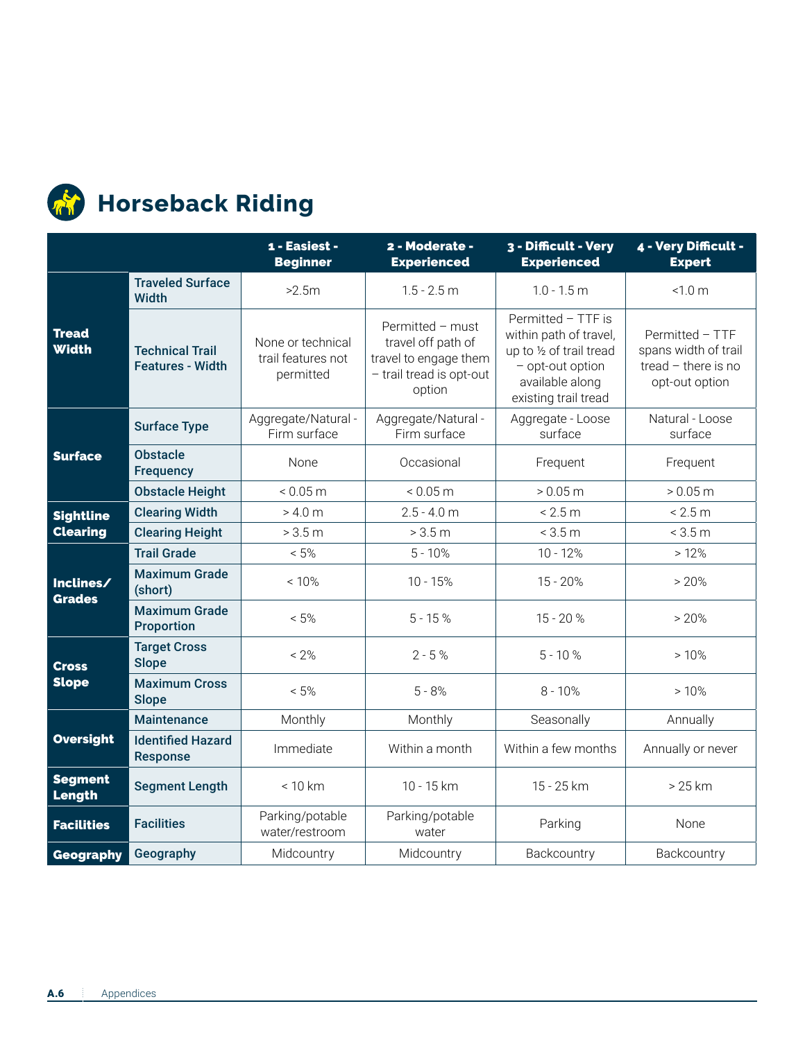

## **Horseback Riding**

|                              |                                                   | 1 - Easiest -<br><b>Beginner</b>                     | 2 - Moderate -<br><b>Experienced</b>                                                                  | 3 - Difficult - Very<br><b>Experienced</b>                                                                                              | 4 - Very Difficult -<br><b>Expert</b>                                              |
|------------------------------|---------------------------------------------------|------------------------------------------------------|-------------------------------------------------------------------------------------------------------|-----------------------------------------------------------------------------------------------------------------------------------------|------------------------------------------------------------------------------------|
|                              | <b>Traveled Surface</b><br><b>Width</b>           | >2.5m                                                | $1.5 - 2.5$ m                                                                                         | $1.0 - 1.5$ m                                                                                                                           | < 1.0 m                                                                            |
| <b>Tread</b><br><b>Width</b> | <b>Technical Trail</b><br><b>Features - Width</b> | None or technical<br>trail features not<br>permitted | Permitted - must<br>travel off path of<br>travel to engage them<br>- trail tread is opt-out<br>option | Permitted - TTF is<br>within path of travel,<br>up to 1/2 of trail tread<br>- opt-out option<br>available along<br>existing trail tread | Permitted - TTF<br>spans width of trail<br>tread $-$ there is no<br>opt-out option |
|                              | <b>Surface Type</b>                               | Aggregate/Natural -<br>Firm surface                  | Aggregate/Natural -<br>Firm surface                                                                   | Aggregate - Loose<br>surface                                                                                                            | Natural - Loose<br>surface                                                         |
| <b>Surface</b>               | <b>Obstacle</b><br><b>Frequency</b>               | None                                                 | Occasional                                                                                            | Frequent                                                                                                                                | Frequent                                                                           |
|                              | <b>Obstacle Height</b>                            | < 0.05 m                                             | < 0.05 m                                                                                              | > 0.05 m                                                                                                                                | > 0.05 m                                                                           |
| <b>Sightline</b>             | <b>Clearing Width</b>                             | > 4.0 m                                              | $2.5 - 4.0$ m                                                                                         | < 2.5 m                                                                                                                                 | < 2.5 m                                                                            |
| <b>Clearing</b>              | <b>Clearing Height</b>                            | > 3.5 m                                              | > 3.5 m                                                                                               | < 3.5 m                                                                                                                                 | < 3.5 m                                                                            |
|                              | <b>Trail Grade</b>                                | $< 5\%$                                              | $5 - 10%$<br>$10 - 12%$                                                                               |                                                                                                                                         | >12%                                                                               |
| Inclines/<br><b>Grades</b>   | <b>Maximum Grade</b><br>(short)                   | < 10%                                                | $10 - 15%$<br>$15 - 20%$                                                                              |                                                                                                                                         | > 20%                                                                              |
|                              | <b>Maximum Grade</b><br><b>Proportion</b>         | $< 5\%$                                              | $5 - 15%$                                                                                             | $15 - 20%$                                                                                                                              | > 20%                                                                              |
| <b>Cross</b>                 | <b>Target Cross</b><br><b>Slope</b>               | $< 2\%$                                              | $2 - 5%$                                                                                              | $5 - 10%$                                                                                                                               | >10%                                                                               |
| <b>Slope</b>                 | <b>Maximum Cross</b><br><b>Slope</b>              | $< 5\%$                                              | $5 - 8%$                                                                                              | $8 - 10%$                                                                                                                               | >10%                                                                               |
|                              | <b>Maintenance</b>                                | Monthly                                              | Monthly                                                                                               | Seasonally                                                                                                                              | Annually                                                                           |
| <b>Oversight</b>             | <b>Identified Hazard</b><br><b>Response</b>       | Immediate                                            | Within a month                                                                                        | Within a few months                                                                                                                     | Annually or never                                                                  |
| <b>Segment</b><br>Length     | <b>Segment Length</b>                             | < 10 km                                              | 10 - 15 km                                                                                            | 15 - 25 km                                                                                                                              | $>25$ km                                                                           |
| <b>Facilities</b>            | <b>Facilities</b>                                 | Parking/potable<br>water/restroom                    | Parking/potable<br>water                                                                              | Parking                                                                                                                                 | None                                                                               |
| Geography                    | Geography                                         | Midcountry                                           | Midcountry                                                                                            | Backcountry                                                                                                                             | Backcountry                                                                        |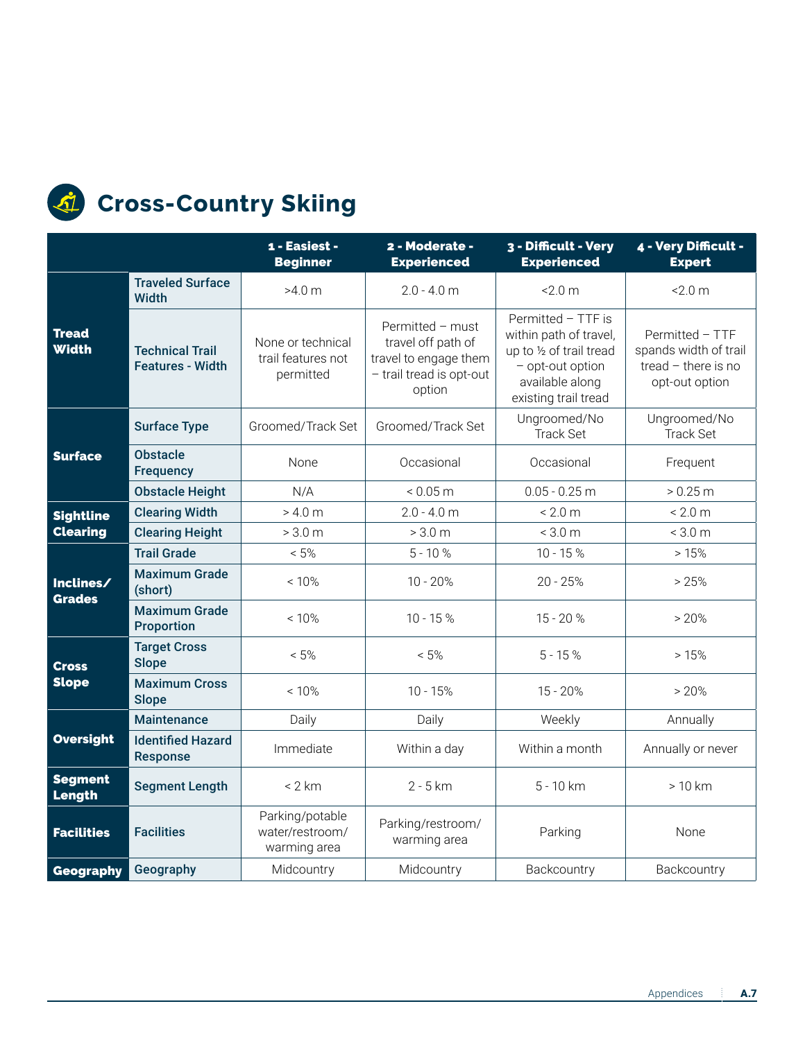

#### **Cross-Country Skiing**

|                              |                                                   | 1 - Easiest -<br><b>Beginner</b>                     | 2 - Moderate -<br><b>Experienced</b>                                                                  | 3 - Difficult - Very<br><b>Experienced</b>                                                                                              | 4 - Very Difficult -<br><b>Expert</b>                                             |
|------------------------------|---------------------------------------------------|------------------------------------------------------|-------------------------------------------------------------------------------------------------------|-----------------------------------------------------------------------------------------------------------------------------------------|-----------------------------------------------------------------------------------|
|                              | <b>Traveled Surface</b><br><b>Width</b>           | >4.0 m                                               | $2.0 - 4.0$ m                                                                                         | $-2.0 m$                                                                                                                                | $-2.0 m$                                                                          |
| <b>Tread</b><br><b>Width</b> | <b>Technical Trail</b><br><b>Features - Width</b> | None or technical<br>trail features not<br>permitted | Permitted - must<br>travel off path of<br>travel to engage them<br>- trail tread is opt-out<br>option | Permitted - TTF is<br>within path of travel,<br>up to 1/2 of trail tread<br>- opt-out option<br>available along<br>existing trail tread | Permitted - TTF<br>spands width of trail<br>tread - there is no<br>opt-out option |
|                              | <b>Surface Type</b>                               | Groomed/Track Set                                    | Groomed/Track Set                                                                                     | Ungroomed/No<br><b>Track Set</b>                                                                                                        | Ungroomed/No<br><b>Track Set</b>                                                  |
| <b>Surface</b>               | <b>Obstacle</b><br><b>Frequency</b>               | None                                                 | Occasional                                                                                            | Occasional                                                                                                                              | Frequent                                                                          |
|                              | <b>Obstacle Height</b>                            | N/A                                                  | < 0.05 m                                                                                              | $0.05 - 0.25$ m                                                                                                                         | > 0.25 m                                                                          |
| <b>Sightline</b>             | <b>Clearing Width</b>                             | > 4.0 m                                              | $2.0 - 4.0$ m                                                                                         | < 2.0 m                                                                                                                                 | < 2.0 m                                                                           |
| <b>Clearing</b>              | <b>Clearing Height</b>                            | > 3.0 m                                              | > 3.0 m                                                                                               | < 3.0 m                                                                                                                                 | < 3.0 m                                                                           |
|                              | <b>Trail Grade</b>                                | $< 5\%$                                              | $5 - 10%$<br>$10 - 15%$                                                                               |                                                                                                                                         | >15%                                                                              |
| Inclines/<br><b>Grades</b>   | <b>Maximum Grade</b><br>(short)                   | $< 10\%$                                             | $10 - 20%$                                                                                            | $20 - 25%$                                                                                                                              | > 25%                                                                             |
|                              | <b>Maximum Grade</b><br><b>Proportion</b>         | < 10%                                                | $10 - 15%$                                                                                            | $15 - 20%$                                                                                                                              | >20%                                                                              |
| <b>Cross</b>                 | <b>Target Cross</b><br><b>Slope</b>               | $< 5\%$                                              | $< 5\%$                                                                                               | $5 - 15%$                                                                                                                               | >15%                                                                              |
| <b>Slope</b>                 | <b>Maximum Cross</b><br><b>Slope</b>              | < 10%                                                | $10 - 15%$                                                                                            | $15 - 20%$                                                                                                                              | >20%                                                                              |
|                              | <b>Maintenance</b>                                | Daily                                                | Daily                                                                                                 | Weekly                                                                                                                                  | Annually                                                                          |
| <b>Oversight</b>             | <b>Identified Hazard</b><br><b>Response</b>       | Immediate                                            | Within a day                                                                                          | Within a month                                                                                                                          | Annually or never                                                                 |
| <b>Segment</b><br>Length     | <b>Segment Length</b>                             | < 2 km                                               | $2 - 5$ km                                                                                            | 5 - 10 km                                                                                                                               | > 10 km                                                                           |
| <b>Facilities</b>            | <b>Facilities</b>                                 | Parking/potable<br>water/restroom/<br>warming area   | Parking/restroom/<br>warming area                                                                     | Parking                                                                                                                                 | None                                                                              |
| <b>Geography</b>             | Geography                                         | Midcountry                                           | Midcountry                                                                                            | Backcountry<br>Backcountry                                                                                                              |                                                                                   |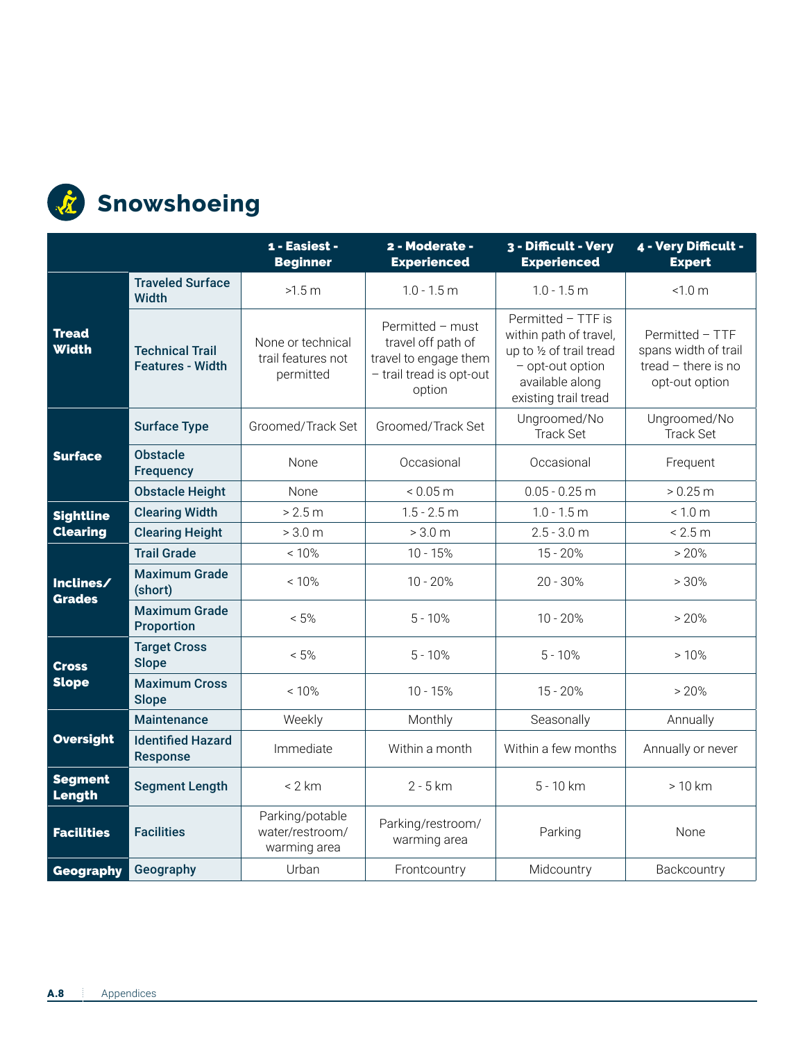

## **Snowshoeing**

|                                 |                                                   | 1 - Easiest -<br><b>Beginner</b>                     | 2 - Moderate -<br><b>Experienced</b>                                                                  | 3 - Difficult - Very<br><b>Experienced</b>                                                                                              | 4 - Very Difficult -<br><b>Expert</b>                                              |
|---------------------------------|---------------------------------------------------|------------------------------------------------------|-------------------------------------------------------------------------------------------------------|-----------------------------------------------------------------------------------------------------------------------------------------|------------------------------------------------------------------------------------|
|                                 | <b>Traveled Surface</b><br>Width                  | >1.5 m                                               | $1.0 - 1.5$ m                                                                                         | $1.0 - 1.5$ m                                                                                                                           | < 1.0 m                                                                            |
| <b>Tread</b><br><b>Width</b>    | <b>Technical Trail</b><br><b>Features - Width</b> | None or technical<br>trail features not<br>permitted | Permitted - must<br>travel off path of<br>travel to engage them<br>- trail tread is opt-out<br>option | Permitted - TTF is<br>within path of travel,<br>up to 1/2 of trail tread<br>- opt-out option<br>available along<br>existing trail tread | Permitted - TTF<br>spans width of trail<br>tread $-$ there is no<br>opt-out option |
|                                 | <b>Surface Type</b>                               | Groomed/Track Set                                    | Groomed/Track Set                                                                                     | Ungroomed/No<br><b>Track Set</b>                                                                                                        | Ungroomed/No<br><b>Track Set</b>                                                   |
| <b>Surface</b>                  | <b>Obstacle</b><br><b>Frequency</b>               | <b>None</b>                                          | Occasional                                                                                            | Occasional                                                                                                                              | Frequent                                                                           |
|                                 | <b>Obstacle Height</b>                            | None                                                 | < 0.05 m                                                                                              | $0.05 - 0.25$ m                                                                                                                         | > 0.25 m                                                                           |
| <b>Sightline</b>                | <b>Clearing Width</b>                             | > 2.5 m                                              | $1.5 - 2.5$ m                                                                                         | $1.0 - 1.5$ m                                                                                                                           | < 1.0 m                                                                            |
| <b>Clearing</b>                 | <b>Clearing Height</b>                            | > 3.0 m                                              | > 3.0 m                                                                                               | $2.5 - 3.0$ m                                                                                                                           | < 2.5 m                                                                            |
|                                 | <b>Trail Grade</b>                                | < 10%                                                | $10 - 15%$<br>$15 - 20%$                                                                              |                                                                                                                                         | > 20%                                                                              |
| Inclines/<br><b>Grades</b>      | <b>Maximum Grade</b><br>(short)                   | < 10%                                                | $10 - 20%$                                                                                            | $20 - 30%$                                                                                                                              | >30%                                                                               |
|                                 | <b>Maximum Grade</b><br><b>Proportion</b>         | $< 5\%$                                              | $5 - 10%$                                                                                             | $10 - 20%$                                                                                                                              | > 20%                                                                              |
| <b>Cross</b>                    | <b>Target Cross</b><br><b>Slope</b>               | $< 5\%$                                              | $5 - 10%$                                                                                             | $5 - 10%$                                                                                                                               | >10%                                                                               |
| <b>Slope</b>                    | <b>Maximum Cross</b><br><b>Slope</b>              | < 10%                                                | $10 - 15%$                                                                                            | $15 - 20%$                                                                                                                              | >20%                                                                               |
|                                 | <b>Maintenance</b>                                | Weekly                                               | Monthly                                                                                               | Seasonally                                                                                                                              | Annually                                                                           |
| <b>Oversight</b>                | <b>Identified Hazard</b><br><b>Response</b>       | Immediate                                            | Within a month                                                                                        | Within a few months                                                                                                                     | Annually or never                                                                  |
| <b>Segment</b><br><b>Length</b> | <b>Segment Length</b>                             | < 2 km                                               | 2 - 5 km                                                                                              | 5 - 10 km                                                                                                                               | $>10$ km                                                                           |
| <b>Facilities</b>               | <b>Facilities</b>                                 | Parking/potable<br>water/restroom/<br>warming area   | Parking/restroom/<br>warming area                                                                     | Parking                                                                                                                                 | None                                                                               |
| <b>Geography</b>                | Geography                                         | Urban                                                | Frontcountry                                                                                          | Midcountry<br>Backcountry                                                                                                               |                                                                                    |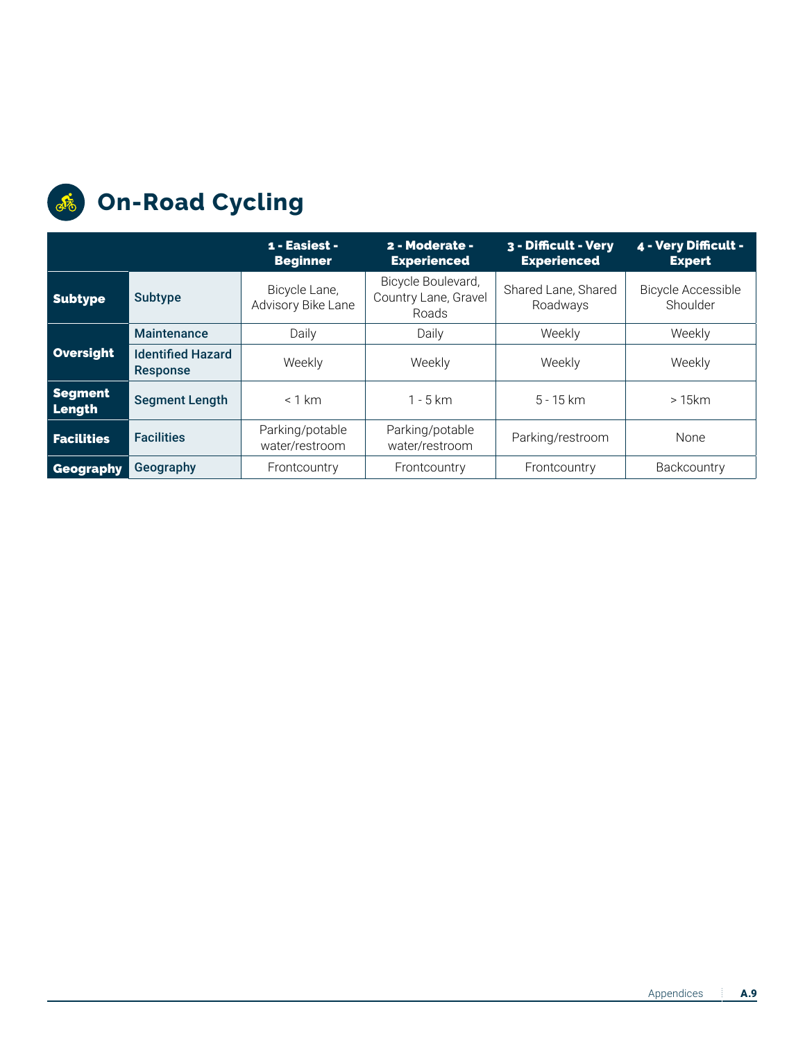

## **On-Road Cycling**

|                          |                                             | 1 - Easiest -<br><b>Beginner</b>    | 2 - Moderate -<br><b>Experienced</b>                                                   | 3 - Difficult - Very<br><b>Experienced</b> | 4 - Very Difficult -<br><b>Expert</b> |
|--------------------------|---------------------------------------------|-------------------------------------|----------------------------------------------------------------------------------------|--------------------------------------------|---------------------------------------|
| <b>Subtype</b>           | Subtype                                     | Bicycle Lane,<br>Advisory Bike Lane | Bicycle Boulevard,<br>Shared Lane, Shared<br>Country Lane, Gravel<br>Roadways<br>Roads |                                            | <b>Bicycle Accessible</b><br>Shoulder |
|                          | <b>Maintenance</b>                          | Daily                               | Daily                                                                                  | Weekly                                     | Weekly                                |
| Oversight                | <b>Identified Hazard</b><br><b>Response</b> | Weekly                              | Weekly                                                                                 | Weekly                                     | Weekly                                |
| <b>Segment</b><br>Length | <b>Segment Length</b>                       | $< 1$ km                            | $1 - 5$ km                                                                             | $5 - 15 km$                                | >15km                                 |
| <b>Facilities</b>        | <b>Facilities</b>                           | Parking/potable<br>water/restroom   | Parking/potable<br>water/restroom                                                      | Parking/restroom                           | None                                  |
| Geography                | Geography                                   | Frontcountry                        | Frontcountry                                                                           | Frontcountry                               | Backcountry                           |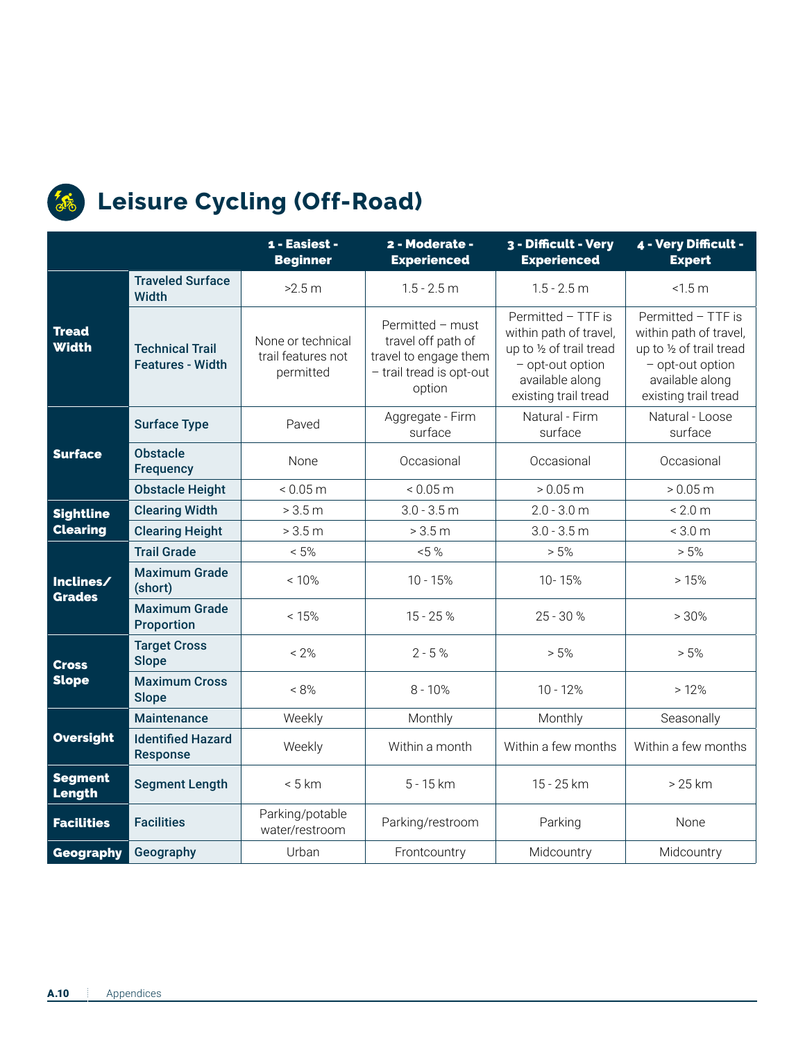

#### *Leisure Cycling (Off-Road)*

|                              |                                                                                                                                                                                                                    | 1 - Easiest -<br><b>Beginner</b>  | 2 - Moderate -<br><b>Experienced</b>                                                                                                    | 3 - Difficult - Very<br><b>Experienced</b>                                                                                              | 4 - Very Difficult -<br><b>Expert</b> |  |
|------------------------------|--------------------------------------------------------------------------------------------------------------------------------------------------------------------------------------------------------------------|-----------------------------------|-----------------------------------------------------------------------------------------------------------------------------------------|-----------------------------------------------------------------------------------------------------------------------------------------|---------------------------------------|--|
|                              | <b>Traveled Surface</b><br>Width                                                                                                                                                                                   | >2.5 m                            | $1.5 - 2.5$ m                                                                                                                           | $1.5 - 2.5$ m                                                                                                                           | < 1.5 m                               |  |
| <b>Tread</b><br><b>Width</b> | Permitted - must<br>travel off path of<br>None or technical<br><b>Technical Trail</b><br>trail features not<br>travel to engage them<br><b>Features - Width</b><br>- trail tread is opt-out<br>permitted<br>option |                                   | Permitted - TTF is<br>within path of travel,<br>up to 1/2 of trail tread<br>- opt-out option<br>available along<br>existing trail tread | Permitted - TTF is<br>within path of travel,<br>up to 1/2 of trail tread<br>- opt-out option<br>available along<br>existing trail tread |                                       |  |
|                              | <b>Surface Type</b>                                                                                                                                                                                                | Paved                             | Aggregate - Firm<br>surface                                                                                                             | Natural - Firm<br>surface                                                                                                               | Natural - Loose<br>surface            |  |
| <b>Surface</b>               | <b>Obstacle</b><br><b>Frequency</b>                                                                                                                                                                                | None                              | Occasional                                                                                                                              | Occasional                                                                                                                              | Occasional                            |  |
|                              | <b>Obstacle Height</b>                                                                                                                                                                                             | < 0.05 m                          | < 0.05 m                                                                                                                                | > 0.05 m                                                                                                                                | > 0.05 m                              |  |
| <b>Sightline</b>             | <b>Clearing Width</b>                                                                                                                                                                                              | > 3.5 m                           | $3.0 - 3.5$ m                                                                                                                           | $2.0 - 3.0$ m                                                                                                                           | < 2.0 m                               |  |
| <b>Clearing</b>              | <b>Clearing Height</b>                                                                                                                                                                                             | > 3.5 m                           | > 3.5 m                                                                                                                                 | $3.0 - 3.5$ m                                                                                                                           | < 3.0 m                               |  |
|                              | <b>Trail Grade</b>                                                                                                                                                                                                 | $< 5\%$                           | $< 5 \%$<br>> 5%                                                                                                                        |                                                                                                                                         | > 5%                                  |  |
| Inclines/<br><b>Grades</b>   | <b>Maximum Grade</b><br>(short)                                                                                                                                                                                    | < 10%                             | $10 - 15%$                                                                                                                              | 10-15%                                                                                                                                  | >15%                                  |  |
|                              | <b>Maximum Grade</b><br><b>Proportion</b>                                                                                                                                                                          | < 15%                             | $15 - 25%$                                                                                                                              | $25 - 30 %$                                                                                                                             | >30%                                  |  |
| <b>Cross</b>                 | <b>Target Cross</b><br><b>Slope</b>                                                                                                                                                                                | $< 2\%$                           | $2 - 5%$                                                                                                                                | > 5%                                                                                                                                    | > 5%                                  |  |
| <b>Slope</b>                 | <b>Maximum Cross</b><br><b>Slope</b>                                                                                                                                                                               | $< 8\%$                           | $8 - 10%$                                                                                                                               | $10 - 12%$                                                                                                                              | >12%                                  |  |
|                              | <b>Maintenance</b>                                                                                                                                                                                                 | Weekly                            | Monthly                                                                                                                                 | Monthly                                                                                                                                 | Seasonally                            |  |
| <b>Oversight</b>             | <b>Identified Hazard</b><br><b>Response</b>                                                                                                                                                                        | Weekly                            | Within a month                                                                                                                          | Within a few months                                                                                                                     | Within a few months                   |  |
| <b>Segment</b><br>Length     | <b>Segment Length</b>                                                                                                                                                                                              | < 5 km                            | 5 - 15 km                                                                                                                               | 15 - 25 km                                                                                                                              | $>25$ km                              |  |
| <b>Facilities</b>            | <b>Facilities</b>                                                                                                                                                                                                  | Parking/potable<br>water/restroom | Parking/restroom                                                                                                                        | Parking                                                                                                                                 | None                                  |  |
| <b>Geography</b>             | Geography                                                                                                                                                                                                          | Urban                             | Frontcountry                                                                                                                            | Midcountry                                                                                                                              | Midcountry                            |  |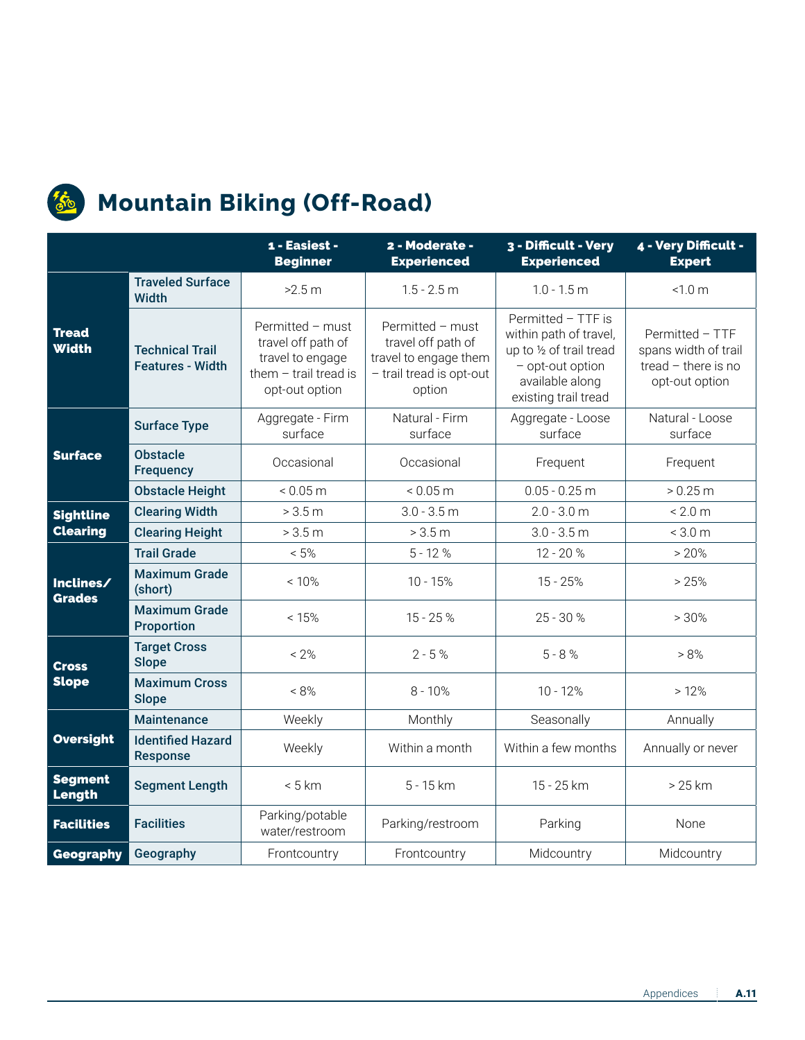

#### *S* Mountain Biking (Off-Road)

|                              |                                                   | 1 - Easiest -<br><b>Beginner</b>                                                                        | 2 - Moderate -<br><b>Experienced</b>                                                                  | 3 - Difficult - Very<br><b>Experienced</b>                                                                                              | 4 - Very Difficult -<br><b>Expert</b> |  |
|------------------------------|---------------------------------------------------|---------------------------------------------------------------------------------------------------------|-------------------------------------------------------------------------------------------------------|-----------------------------------------------------------------------------------------------------------------------------------------|---------------------------------------|--|
|                              | <b>Traveled Surface</b><br><b>Width</b>           | >2.5 m                                                                                                  | $1.5 - 2.5$ m                                                                                         | $1.0 - 1.5$ m                                                                                                                           | < 1.0 m                               |  |
| <b>Tread</b><br><b>Width</b> | <b>Technical Trail</b><br><b>Features - Width</b> | Permitted - must<br>travel off path of<br>travel to engage<br>them $-$ trail tread is<br>opt-out option | Permitted - must<br>travel off path of<br>travel to engage them<br>- trail tread is opt-out<br>option | Permitted - TTF is<br>within path of travel,<br>up to 1/2 of trail tread<br>- opt-out option<br>available along<br>existing trail tread |                                       |  |
|                              | <b>Surface Type</b>                               | Aggregate - Firm<br>surface                                                                             | Natural - Firm<br>surface                                                                             | Aggregate - Loose<br>surface                                                                                                            | Natural - Loose<br>surface            |  |
| <b>Surface</b>               | <b>Obstacle</b><br><b>Frequency</b>               | Occasional                                                                                              | Occasional                                                                                            | Frequent                                                                                                                                | Frequent                              |  |
|                              | <b>Obstacle Height</b>                            | < 0.05 m                                                                                                | < 0.05 m                                                                                              | $0.05 - 0.25$ m                                                                                                                         | > 0.25 m                              |  |
| <b>Sightline</b>             | <b>Clearing Width</b>                             | > 3.5 m                                                                                                 | $3.0 - 3.5$ m                                                                                         | $2.0 - 3.0$ m                                                                                                                           | < 2.0 m                               |  |
| <b>Clearing</b>              | <b>Clearing Height</b>                            | > 3.5 m                                                                                                 | > 3.5 m                                                                                               | $3.0 - 3.5$ m                                                                                                                           | < 3.0 m                               |  |
|                              | <b>Trail Grade</b>                                | $< 5\%$                                                                                                 | $5 - 12%$                                                                                             | 12 - 20 %                                                                                                                               | $> 20\%$                              |  |
| Inclines/<br><b>Grades</b>   | <b>Maximum Grade</b><br>(short)                   | < 10%                                                                                                   | $10 - 15%$                                                                                            | $15 - 25%$                                                                                                                              | > 25%                                 |  |
|                              | <b>Maximum Grade</b><br>Proportion                | < 15%                                                                                                   | 15 - 25 %                                                                                             | $25 - 30%$                                                                                                                              | >30%                                  |  |
| <b>Cross</b>                 | <b>Target Cross</b><br><b>Slope</b>               | $< 2\%$                                                                                                 | $2 - 5 %$                                                                                             | $5 - 8 %$                                                                                                                               | > 8%                                  |  |
| <b>Slope</b>                 | <b>Maximum Cross</b><br><b>Slope</b>              | $< 8\%$                                                                                                 | $8 - 10%$                                                                                             | $10 - 12%$                                                                                                                              | >12%                                  |  |
|                              | <b>Maintenance</b>                                | Weekly                                                                                                  | Monthly                                                                                               | Seasonally                                                                                                                              | Annually                              |  |
| <b>Oversight</b>             | <b>Identified Hazard</b><br><b>Response</b>       | Weekly                                                                                                  | Within a month                                                                                        | Within a few months                                                                                                                     | Annually or never                     |  |
| <b>Segment</b><br>Length     | <b>Segment Length</b>                             | < 5 km                                                                                                  | 5 - 15 km                                                                                             | 15 - 25 km                                                                                                                              | $>25$ km                              |  |
| <b>Facilities</b>            | <b>Facilities</b>                                 | Parking/potable<br>water/restroom                                                                       | Parking/restroom                                                                                      | Parking                                                                                                                                 | None                                  |  |
| <b>Geography</b>             | Geography                                         | Frontcountry                                                                                            | Frontcountry                                                                                          | Midcountry                                                                                                                              | Midcountry                            |  |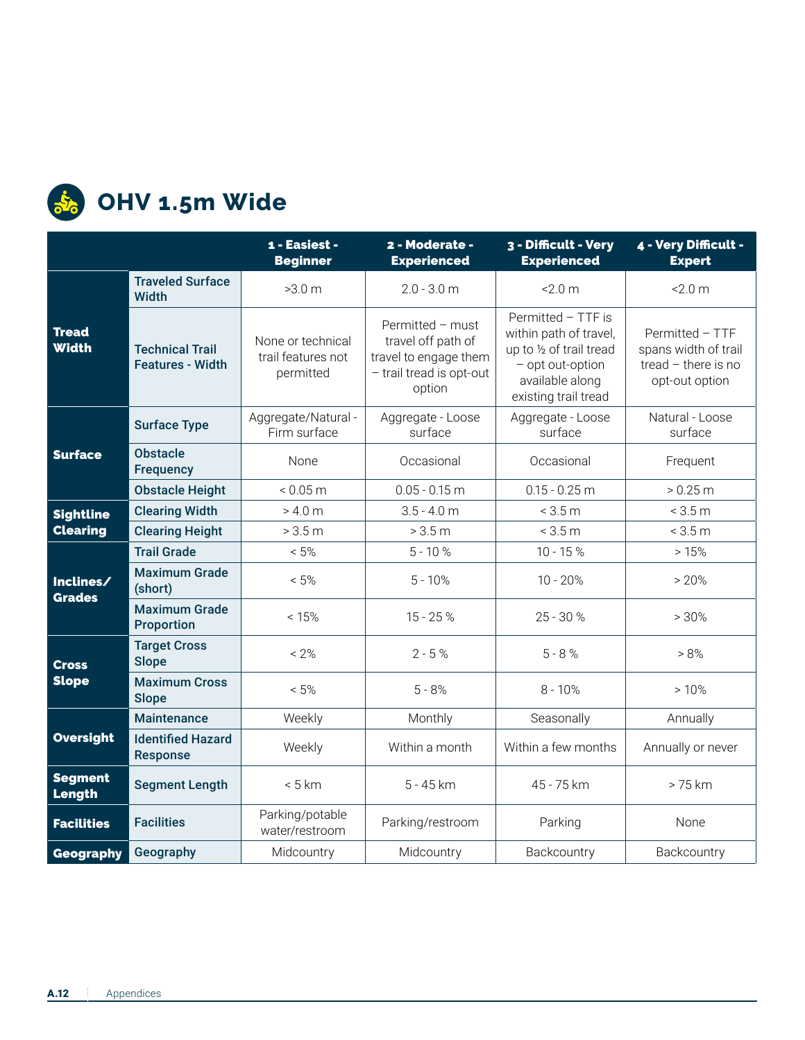

## **S**<sup>2</sup><sub>6</sub> OHV 1.5m Wide

|                              |                                                   | 1 - Easiest -<br><b>Beginner</b>                     | 2 - Moderate -<br><b>Experienced</b>                                                                  | 3 - Difficult - Very<br><b>Experienced</b>                                                                                              | 4 - Very Difficult -<br><b>Expert</b>                                              |
|------------------------------|---------------------------------------------------|------------------------------------------------------|-------------------------------------------------------------------------------------------------------|-----------------------------------------------------------------------------------------------------------------------------------------|------------------------------------------------------------------------------------|
|                              | <b>Traveled Surface</b><br>Width                  | >3.0 m                                               | $2.0 - 3.0$ m                                                                                         | $-2.0 m$                                                                                                                                | $-2.0 m$                                                                           |
| <b>Tread</b><br><b>Width</b> | <b>Technical Trail</b><br><b>Features - Width</b> | None or technical<br>trail features not<br>permitted | Permitted - must<br>travel off path of<br>travel to engage them<br>- trail tread is opt-out<br>option | Permitted - TTF is<br>within path of travel,<br>up to 1/2 of trail tread<br>- opt out-option<br>available along<br>existing trail tread | Permitted - TTF<br>spans width of trail<br>tread $-$ there is no<br>opt-out option |
|                              | <b>Surface Type</b>                               | Aggregate/Natural -<br>Firm surface                  | Aggregate - Loose<br>surface                                                                          | Aggregate - Loose<br>surface                                                                                                            | Natural - Loose<br>surface                                                         |
| <b>Surface</b>               | <b>Obstacle</b><br><b>Frequency</b>               | <b>None</b>                                          | Occasional                                                                                            | Occasional                                                                                                                              | Frequent                                                                           |
|                              | <b>Obstacle Height</b>                            | < 0.05 m                                             | $0.05 - 0.15$ m                                                                                       | $0.15 - 0.25$ m                                                                                                                         | > 0.25 m                                                                           |
| <b>Sightline</b>             | <b>Clearing Width</b><br>> 4.0 m                  |                                                      | $3.5 - 4.0$ m                                                                                         | < 3.5 m                                                                                                                                 | < 3.5 m                                                                            |
| <b>Clearing</b>              | <b>Clearing Height</b>                            | > 3.5 m                                              | > 3.5 m                                                                                               | < 3.5 m                                                                                                                                 | < 3.5 m                                                                            |
|                              | <b>Trail Grade</b>                                | $< 5\%$                                              | $5 - 10%$<br>$10 - 15%$                                                                               |                                                                                                                                         | >15%                                                                               |
| Inclines/<br><b>Grades</b>   | <b>Maximum Grade</b><br>(short)                   | $< 5\%$                                              | $5 - 10%$                                                                                             | $10 - 20%$                                                                                                                              | > 20%                                                                              |
|                              | <b>Maximum Grade</b><br><b>Proportion</b>         | < 15%                                                | 15 - 25 %                                                                                             | $25 - 30 %$                                                                                                                             | >30%                                                                               |
| <b>Cross</b>                 | <b>Target Cross</b><br><b>Slope</b>               | $< 2\%$                                              | $2 - 5 %$                                                                                             | $5 - 8 %$                                                                                                                               | > 8%                                                                               |
| <b>Slope</b>                 | <b>Maximum Cross</b><br><b>Slope</b>              | $< 5\%$                                              | $5 - 8%$                                                                                              | $8 - 10%$                                                                                                                               | >10%                                                                               |
|                              | <b>Maintenance</b>                                | Weekly                                               | Monthly                                                                                               | Seasonally                                                                                                                              | Annually                                                                           |
| <b>Oversight</b>             | <b>Identified Hazard</b><br><b>Response</b>       | Weekly                                               | Within a month                                                                                        | Within a few months                                                                                                                     | Annually or never                                                                  |
| <b>Segment</b><br>Length     | <b>Segment Length</b>                             | < 5 km                                               | 5 - 45 km                                                                                             | 45 - 75 km                                                                                                                              | > 75 km                                                                            |
| <b>Facilities</b>            | <b>Facilities</b>                                 | Parking/potable<br>water/restroom                    | Parking/restroom                                                                                      | Parking                                                                                                                                 | None                                                                               |
| <b>Geography</b>             | Geography                                         | Midcountry                                           | Midcountry                                                                                            | Backcountry                                                                                                                             | Backcountry                                                                        |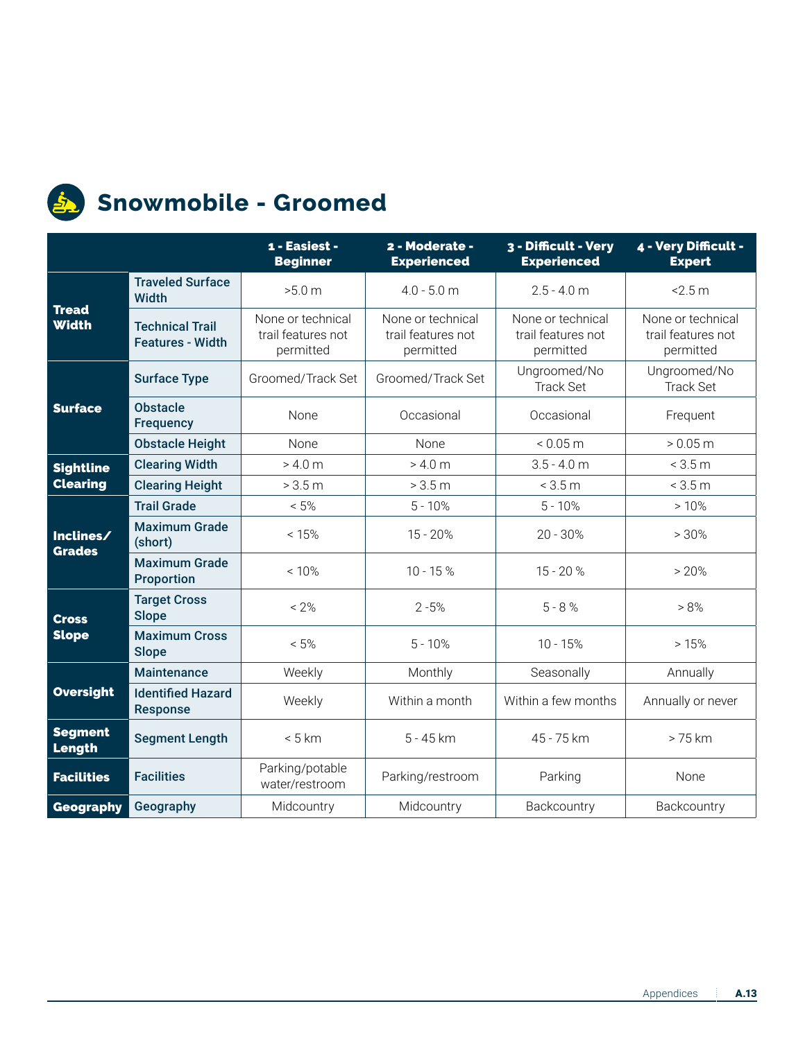

#### **Snowmobile - Groomed**

|                              |                                                   | 1 - Easiest -<br><b>Beginner</b>                     | 2 - Moderate -<br><b>Experienced</b>                 | 3 - Difficult - Very<br><b>Experienced</b>           | 4 - Very Difficult -<br><b>Expert</b>                |  |
|------------------------------|---------------------------------------------------|------------------------------------------------------|------------------------------------------------------|------------------------------------------------------|------------------------------------------------------|--|
|                              | <b>Traveled Surface</b><br>Width                  | >5.0 m                                               | $4.0 - 5.0$ m                                        | $2.5 - 4.0 m$                                        | 2.5 m                                                |  |
| <b>Tread</b><br><b>Width</b> | <b>Technical Trail</b><br><b>Features - Width</b> | None or technical<br>trail features not<br>permitted | None or technical<br>trail features not<br>permitted | None or technical<br>trail features not<br>permitted | None or technical<br>trail features not<br>permitted |  |
|                              | <b>Surface Type</b>                               | Groomed/Track Set                                    | Groomed/Track Set                                    | Ungroomed/No<br><b>Track Set</b>                     | Ungroomed/No<br><b>Track Set</b>                     |  |
| <b>Surface</b>               | <b>Obstacle</b><br><b>Frequency</b>               | None                                                 | Occasional                                           | Occasional                                           | Frequent                                             |  |
|                              | <b>Obstacle Height</b>                            | None                                                 | None                                                 | < 0.05 m                                             | > 0.05 m                                             |  |
| <b>Sightline</b>             | <b>Clearing Width</b>                             | > 4.0 m                                              | > 4.0 m                                              | $3.5 - 4.0$ m                                        | < 3.5 m                                              |  |
| <b>Clearing</b>              | <b>Clearing Height</b>                            | > 3.5 m                                              | > 3.5 m                                              | < 3.5 m                                              | < 3.5 m                                              |  |
|                              | <b>Trail Grade</b>                                | $< 5\%$                                              | $5 - 10%$                                            | $5 - 10%$                                            | >10%                                                 |  |
| Inclines/<br><b>Grades</b>   | <b>Maximum Grade</b><br>(short)                   | < 15%                                                | $15 - 20%$                                           | $20 - 30%$                                           | >30%                                                 |  |
|                              | <b>Maximum Grade</b><br><b>Proportion</b>         | < 10%                                                | $10 - 15%$                                           | $15 - 20%$                                           | >20%                                                 |  |
| <b>Cross</b>                 | <b>Target Cross</b><br><b>Slope</b>               | $< 2\%$                                              | $2 - 5%$<br>$5 - 8 %$                                |                                                      | > 8%                                                 |  |
| <b>Slope</b>                 | <b>Maximum Cross</b><br><b>Slope</b>              | $< 5\%$                                              | $5 - 10%$                                            | $10 - 15%$                                           | >15%                                                 |  |
|                              | <b>Maintenance</b>                                | Weekly                                               | Monthly                                              | Seasonally                                           | Annually                                             |  |
| <b>Oversight</b>             | <b>Identified Hazard</b><br><b>Response</b>       | Weekly                                               | Within a month                                       | Within a few months                                  | Annually or never                                    |  |
| <b>Segment</b><br>Length     | <b>Segment Length</b>                             | < 5 km                                               | 5 - 45 km                                            | 45 - 75 km                                           | > 75 km                                              |  |
| <b>Facilities</b>            | <b>Facilities</b>                                 | Parking/potable<br>water/restroom                    | Parking/restroom                                     | Parking                                              | None                                                 |  |
| <b>Geography</b>             | Geography                                         | Midcountry                                           | Midcountry                                           | Backcountry                                          | Backcountry                                          |  |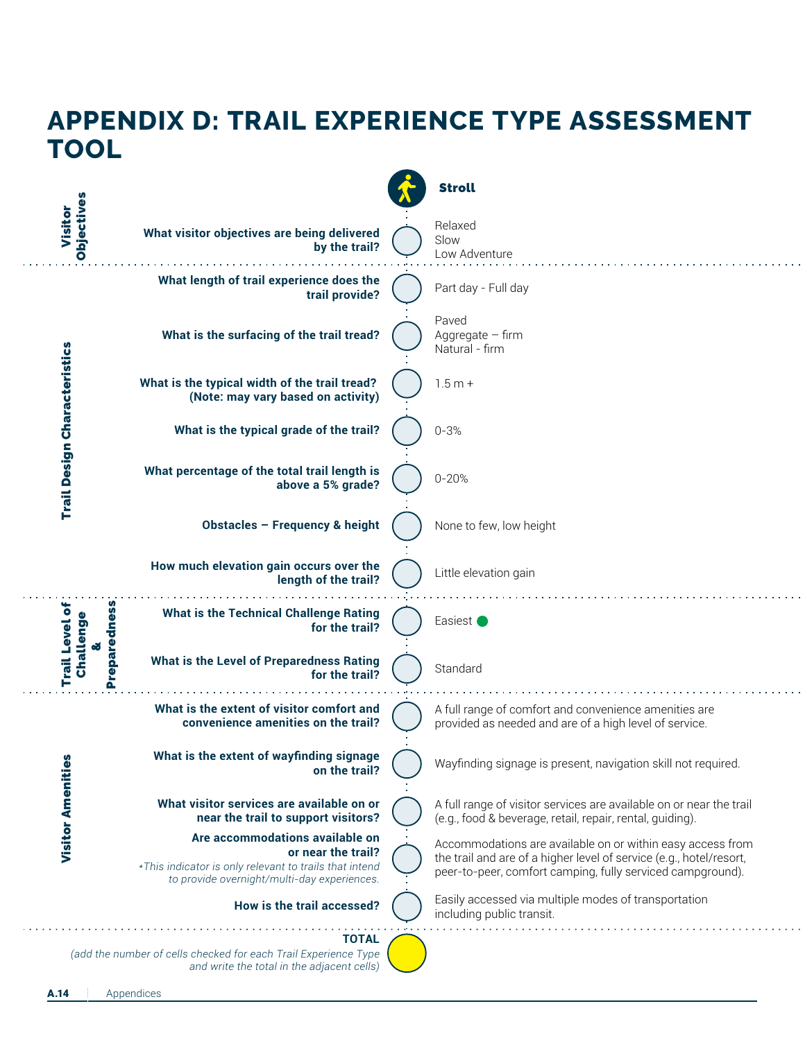#### **APPENDIX D: TRAIL EXPERIENCE TYPE ASSESSMENT TOOL** Stroll Objectives Objectives Visitor Relaxed **What visitor objectives are being delivered** Slow  **by the trail?** Low Adventure **What length of trail experience does the** Part day - Full day  **trail provide?** Paved **What is the surfacing of the trail tread?** Aggregate – firm **Trail Design Characteristics** Trail Design Characteristics Natural - firm **What is the typical width of the trail tread?** 1.5 m + **(Note: may vary based on activity) What is the typical grade of the trail?** 0-3% **What percentage of the total trail length is** 0-20%  **above a 5% grade? Obstacles – Frequency & height** None to few, low height **How much elevation gain occurs over the** Little elevation gain  **length of the trail?** Trail Level of Preparedness Preparedness Trail Level of Challenge **What is the Technical Challenge Rating** Challenge Easiest  **for the trail?** & **What is the Level of Preparedness Rating Standard for the trail? What is the extent of visitor comfort and** A full range of comfort and convenience amenities are  **convenience amenities on the trail?** provided as needed and are of a high level of service. **What is the extent of wayfinding signage Visitor Amenities** Visitor Amenities Wayfinding signage is present, navigation skill not required.  **on the trail? What visitor services are available on or** A full range of visitor services are available on or near the trail  **near the trail to support visitors?** (e.g., food & beverage, retail, repair, rental, guiding). **Are accommodations available on** Accommodations are available on or within easy access from  **or near the trail?** the trail and are of a higher level of service (e.g., hotel/resort, *\*This indicator is only relevant to trails that intend* peer-to-peer, comfort camping, fully serviced campground).  *to provide overnight/multi-day experiences.* Easily accessed via multiple modes of transportation **How is the trail accessed?** including public transit. **TOTAL** *(add the number of cells checked for each Trail Experience Type and write the total in the adjacent cells)*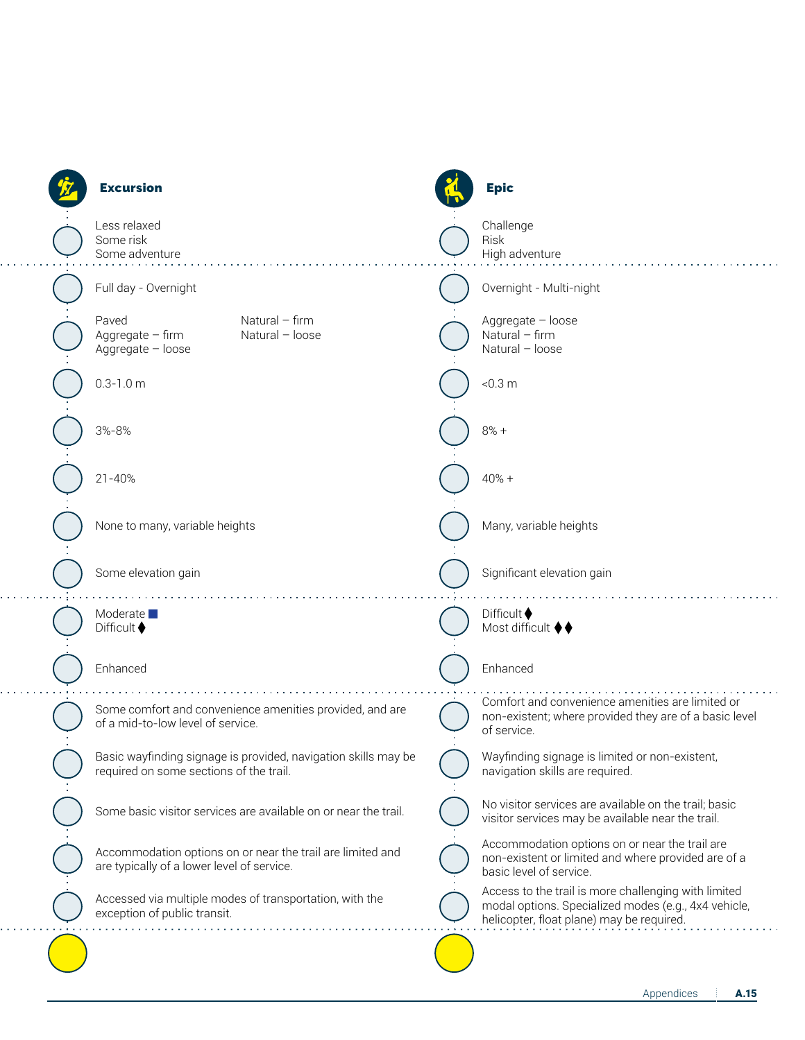| <b>Excursion</b>                                                                                          | <b>Epic</b>                                                                                                                                               |
|-----------------------------------------------------------------------------------------------------------|-----------------------------------------------------------------------------------------------------------------------------------------------------------|
| Less relaxed<br>Some risk<br>Some adventure                                                               | Challenge<br>Risk<br>High adventure                                                                                                                       |
| Full day - Overnight                                                                                      | Overnight - Multi-night                                                                                                                                   |
| Paved<br>Natural $-$ firm<br>Aggregate $-$ firm<br>Natural - loose<br>Aggregate - loose                   | Aggregate - loose<br>Natural $-$ firm<br>Natural - loose                                                                                                  |
| $0.3 - 1.0$ m                                                                                             | < 0.3 m                                                                                                                                                   |
| 3%-8%                                                                                                     | $8% +$                                                                                                                                                    |
| $21 - 40%$                                                                                                | $40% +$                                                                                                                                                   |
| None to many, variable heights                                                                            | Many, variable heights                                                                                                                                    |
| Some elevation gain                                                                                       | Significant elevation gain                                                                                                                                |
| Moderate $\square$<br>Difficult $\blacklozenge$                                                           | Difficult $\blacklozenge$<br>Most difficult ♦♦                                                                                                            |
| Enhanced                                                                                                  | Enhanced                                                                                                                                                  |
| Some comfort and convenience amenities provided, and are<br>of a mid-to-low level of service.             | Comfort and convenience amenities are limited or<br>non-existent; where provided they are of a basic level<br>of service.                                 |
| Basic wayfinding signage is provided, navigation skills may be<br>required on some sections of the trail. | Wayfinding signage is limited or non-existent,<br>navigation skills are required.                                                                         |
| Some basic visitor services are available on or near the trail.                                           | No visitor services are available on the trail; basic<br>visitor services may be available near the trail.                                                |
| Accommodation options on or near the trail are limited and<br>are typically of a lower level of service.  | Accommodation options on or near the trail are<br>non-existent or limited and where provided are of a<br>basic level of service.                          |
| Accessed via multiple modes of transportation, with the<br>exception of public transit.                   | Access to the trail is more challenging with limited<br>modal options. Specialized modes (e.g., 4x4 vehicle,<br>helicopter, float plane) may be required. |
|                                                                                                           |                                                                                                                                                           |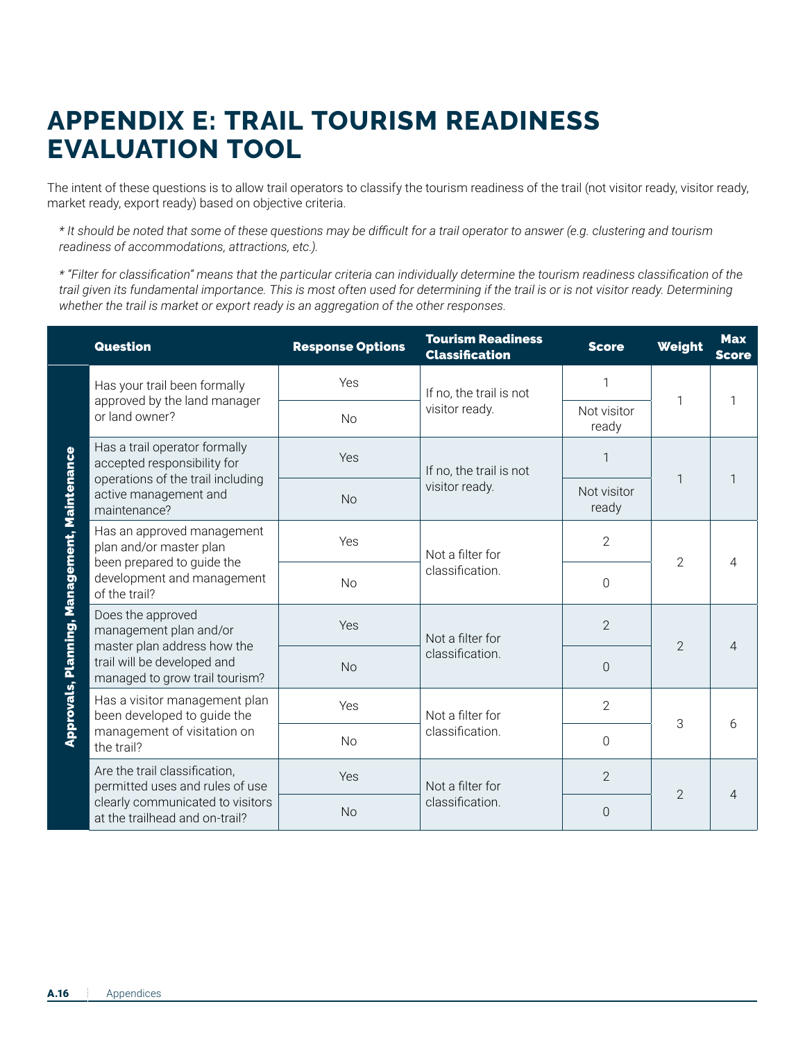#### **APPENDIX E: TRAIL TOURISM READINESS EVALUATION TOOL**

The intent of these questions is to allow trail operators to classify the tourism readiness of the trail (not visitor ready, visitor ready, market ready, export ready) based on objective criteria.

*\* It should be noted that some of these questions may be difficult for a trail operator to answer (e.g. clustering and tourism readiness of accommodations, attractions, etc.).* 

*\* "Filter for classification" means that the particular criteria can individually determine the tourism readiness classification of the trail given its fundamental importance. This is most often used for determining if the trail is or is not visitor ready. Determining whether the trail is market or export ready is an aggregation of the other responses.* 

|                                              | <b>Question</b>                                                                                                                    | <b>Response Options</b>      | <b>Tourism Readiness</b><br><b>Classification</b> | <b>Score</b>         | Weight         | <b>Max</b><br><b>Score</b> |
|----------------------------------------------|------------------------------------------------------------------------------------------------------------------------------------|------------------------------|---------------------------------------------------|----------------------|----------------|----------------------------|
| Approvals, Planning, Management, Maintenance | Has your trail been formally<br>approved by the land manager<br>or land owner?                                                     | Yes                          | If no, the trail is not<br>visitor ready.         | 1                    | 1              | 1                          |
|                                              |                                                                                                                                    | <b>No</b>                    |                                                   | Not visitor<br>ready |                |                            |
|                                              | Has a trail operator formally<br>accepted responsibility for                                                                       | Yes                          | If no, the trail is not<br>visitor ready.         | $\mathbf 1$          | 1              | 1                          |
|                                              | operations of the trail including<br>active management and<br>maintenance?                                                         | <b>No</b>                    |                                                   | Not visitor<br>ready |                |                            |
|                                              | Has an approved management<br>plan and/or master plan<br>been prepared to guide the<br>development and management<br>of the trail? | Yes                          | Not a filter for<br>classification.               | $\overline{2}$       | 2              | 4<br>$\overline{4}$        |
|                                              |                                                                                                                                    | <b>No</b>                    |                                                   | $\overline{0}$       |                |                            |
|                                              | Does the approved<br>management plan and/or<br>master plan address how the                                                         | Yes                          | Not a filter for                                  | $\overline{2}$       | $\overline{2}$ |                            |
|                                              | trail will be developed and<br>managed to grow trail tourism?                                                                      | classification.<br><b>No</b> | $\overline{0}$                                    |                      |                |                            |
|                                              | Has a visitor management plan<br>been developed to guide the                                                                       | Yes                          | Not a filter for<br>classification.               | $\overline{2}$       | 3              | 6                          |
|                                              | management of visitation on<br>the trail?                                                                                          | <b>No</b>                    |                                                   | $\Omega$             |                |                            |
|                                              | Are the trail classification,<br>permitted uses and rules of use                                                                   | Yes                          | Not a filter for<br>classification.               | $\overline{2}$       | $\overline{2}$ | $\overline{4}$             |
|                                              | clearly communicated to visitors<br>at the trailhead and on-trail?                                                                 | <b>No</b>                    |                                                   | $\overline{0}$       |                |                            |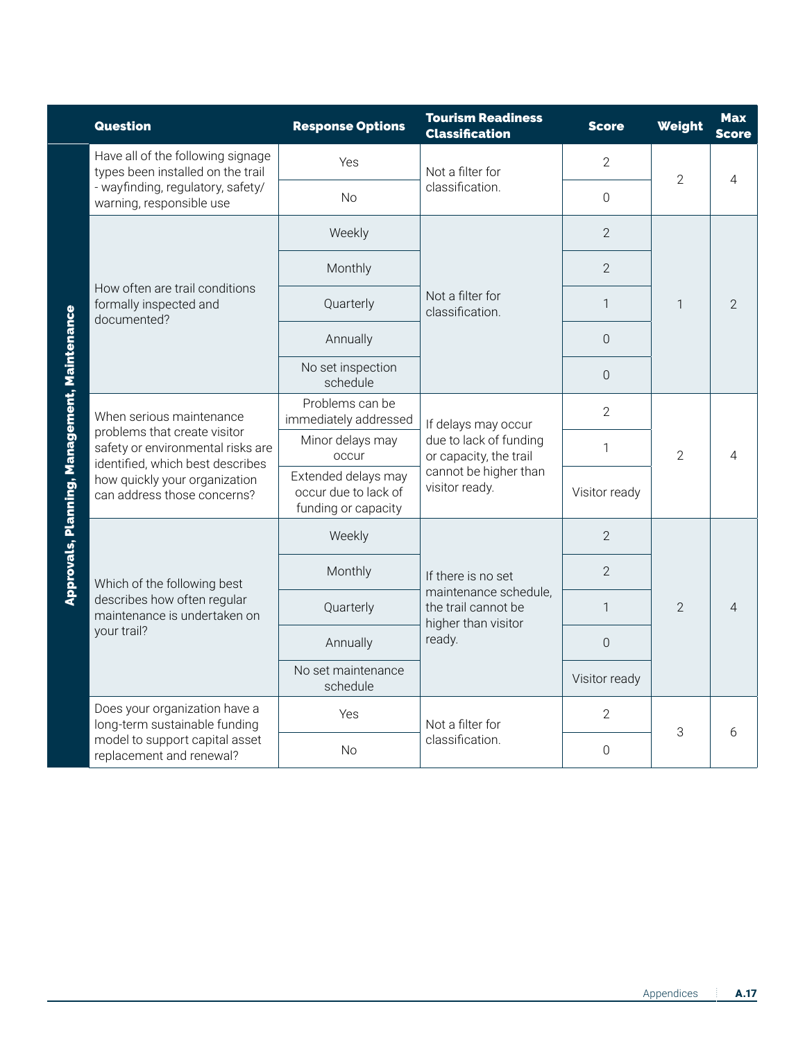|  | <b>Question</b>                                                                                                                                                                                   | <b>Response Options</b>                                            | <b>Tourism Readiness</b><br><b>Classification</b>                                                   | <b>Score</b>   | Weight         | <b>Max</b><br><b>Score</b> |
|--|---------------------------------------------------------------------------------------------------------------------------------------------------------------------------------------------------|--------------------------------------------------------------------|-----------------------------------------------------------------------------------------------------|----------------|----------------|----------------------------|
|  | Have all of the following signage<br>types been installed on the trail                                                                                                                            | Yes                                                                | Not a filter for                                                                                    | $\overline{2}$ | $\overline{2}$ | $\overline{\mathcal{L}}$   |
|  | - wayfinding, regulatory, safety/<br>warning, responsible use                                                                                                                                     | <b>No</b>                                                          | classification.                                                                                     | $\overline{0}$ |                |                            |
|  |                                                                                                                                                                                                   | Weekly                                                             |                                                                                                     | $\overline{2}$ | 1              | $\mathcal{P}$              |
|  |                                                                                                                                                                                                   | Monthly                                                            |                                                                                                     | $\overline{2}$ |                |                            |
|  | How often are trail conditions<br>formally inspected and<br>documented?                                                                                                                           | Quarterly                                                          | Not a filter for<br>classification.                                                                 | 1              |                |                            |
|  |                                                                                                                                                                                                   | Annually                                                           |                                                                                                     | $\overline{0}$ |                |                            |
|  |                                                                                                                                                                                                   | No set inspection<br>schedule                                      |                                                                                                     | $\Omega$       |                |                            |
|  | When serious maintenance<br>problems that create visitor<br>safety or environmental risks are<br>identified, which best describes<br>how quickly your organization<br>can address those concerns? | Problems can be<br>immediately addressed                           | If delays may occur<br>due to lack of funding<br>or capacity, the trail                             | $\overline{2}$ | 2              | 4                          |
|  |                                                                                                                                                                                                   | Minor delays may<br>occur                                          |                                                                                                     | 1              |                |                            |
|  |                                                                                                                                                                                                   | Extended delays may<br>occur due to lack of<br>funding or capacity | cannot be higher than<br>visitor ready.                                                             | Visitor ready  |                |                            |
|  | Which of the following best<br>describes how often regular<br>maintenance is undertaken on<br>your trail?                                                                                         | Weekly                                                             | If there is no set<br>maintenance schedule,<br>the trail cannot be<br>higher than visitor<br>ready. | $\overline{2}$ |                |                            |
|  |                                                                                                                                                                                                   | Monthly                                                            |                                                                                                     | $\overline{2}$ |                |                            |
|  |                                                                                                                                                                                                   | Quarterly                                                          |                                                                                                     | 1              | $\mathcal{P}$  | $\overline{4}$             |
|  |                                                                                                                                                                                                   | Annually                                                           |                                                                                                     | 0              |                |                            |
|  |                                                                                                                                                                                                   | No set maintenance<br>schedule                                     |                                                                                                     | Visitor ready  |                |                            |
|  | Does your organization have a<br>long-term sustainable funding                                                                                                                                    | Yes                                                                | Not a filter for                                                                                    | $\overline{2}$ |                | 6                          |
|  | model to support capital asset<br>replacement and renewal?                                                                                                                                        | <b>No</b>                                                          | classification.                                                                                     | $\overline{0}$ | 3              |                            |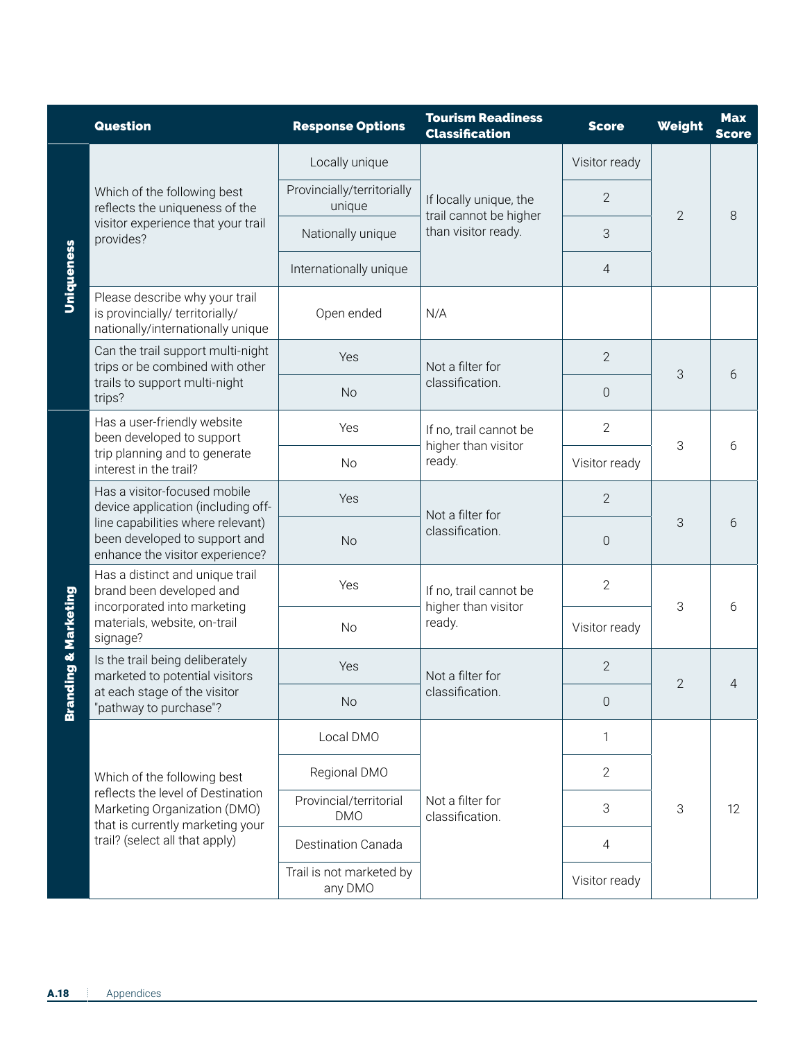|                   | <b>Question</b>                                                                                                                                                             | <b>Response Options</b>              | <b>Tourism Readiness</b><br><b>Classification</b> | <b>Score</b>   | Weight         | <b>Max</b><br><b>Score</b> |
|-------------------|-----------------------------------------------------------------------------------------------------------------------------------------------------------------------------|--------------------------------------|---------------------------------------------------|----------------|----------------|----------------------------|
|                   | Which of the following best<br>reflects the uniqueness of the<br>visitor experience that your trail<br>provides?                                                            | Locally unique                       |                                                   | Visitor ready  | $\overline{2}$ | 8                          |
|                   |                                                                                                                                                                             | Provincially/territorially<br>unique | If locally unique, the<br>trail cannot be higher  | 2              |                |                            |
|                   |                                                                                                                                                                             | Nationally unique                    | than visitor ready.                               | 3              |                |                            |
| Uniqueness        |                                                                                                                                                                             | Internationally unique               |                                                   | $\overline{4}$ |                |                            |
|                   | Please describe why your trail<br>is provincially/ territorially/<br>nationally/internationally unique                                                                      | Open ended                           | N/A                                               |                |                |                            |
|                   | Can the trail support multi-night<br>trips or be combined with other                                                                                                        | Yes                                  | Not a filter for                                  | $\mathbf{2}$   | 3              |                            |
|                   | trails to support multi-night<br>trips?                                                                                                                                     | <b>No</b>                            | classification.                                   | $\mathbf 0$    |                | 6                          |
|                   | Has a user-friendly website<br>been developed to support<br>trip planning and to generate<br>interest in the trail?                                                         | Yes                                  | If no, trail cannot be                            | $\overline{2}$ | 3              | 6                          |
| nding & Marketing |                                                                                                                                                                             | <b>No</b>                            | higher than visitor<br>ready.                     | Visitor ready  |                |                            |
|                   | Has a visitor-focused mobile<br>device application (including off-<br>line capabilities where relevant)<br>been developed to support and<br>enhance the visitor experience? | Yes                                  | Not a filter for                                  | $\mathbf{2}$   | 3              |                            |
|                   |                                                                                                                                                                             | <b>No</b>                            | classification.                                   | $\mathbf 0$    |                | 6                          |
|                   | Has a distinct and unique trail<br>brand been developed and<br>incorporated into marketing<br>materials, website, on-trail<br>signage?                                      | Yes                                  | If no, trail cannot be<br>higher than visitor     | $\overline{2}$ | 3              | 6                          |
|                   |                                                                                                                                                                             | <b>No</b>                            | ready.                                            | Visitor ready  |                |                            |
|                   | Is the trail being deliberately<br>marketed to potential visitors                                                                                                           | Yes                                  | Not a filter for<br>classification.               | $\overline{2}$ |                |                            |
| <b>Brat</b>       | at each stage of the visitor<br>"pathway to purchase"?                                                                                                                      | <b>No</b>                            |                                                   | $\overline{0}$ | $\overline{2}$ | 4                          |
|                   |                                                                                                                                                                             | Local DMO                            | Not a filter for<br>classification.               | 1              | 3              | 12                         |
|                   | Which of the following best<br>reflects the level of Destination<br>Marketing Organization (DMO)                                                                            | Regional DMO                         |                                                   | $\overline{2}$ |                |                            |
|                   |                                                                                                                                                                             | Provincial/territorial<br><b>DMO</b> |                                                   | 3              |                |                            |
|                   | that is currently marketing your<br>trail? (select all that apply)                                                                                                          | Destination Canada                   |                                                   | $\overline{4}$ |                |                            |
|                   |                                                                                                                                                                             | Trail is not marketed by<br>any DMO  |                                                   | Visitor ready  |                |                            |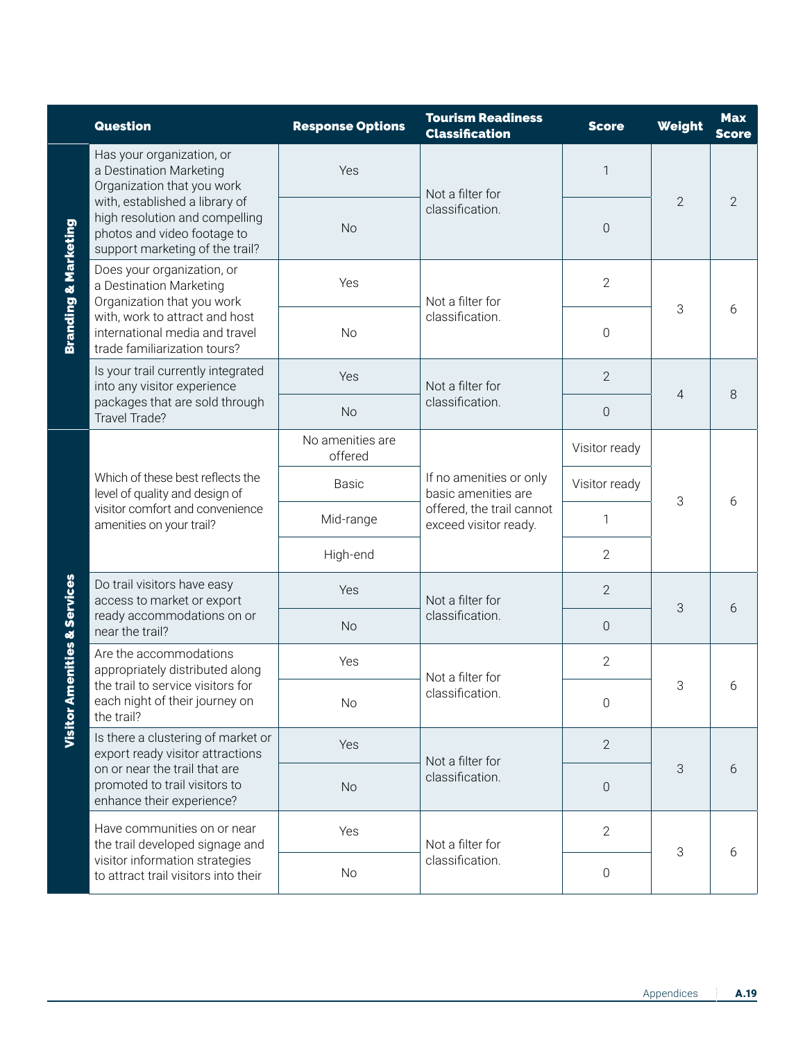|                      | <b>Question</b>                                                                                                                                                                                                                                                                     | <b>Response Options</b>     | <b>Tourism Readiness</b><br><b>Classification</b>                                                    | <b>Score</b>   | Weight         | <b>Max</b><br><b>Score</b> |
|----------------------|-------------------------------------------------------------------------------------------------------------------------------------------------------------------------------------------------------------------------------------------------------------------------------------|-----------------------------|------------------------------------------------------------------------------------------------------|----------------|----------------|----------------------------|
| Branding & Marketing | Has your organization, or<br>a Destination Marketing<br>Yes<br>Organization that you work<br>Not a filter for<br>with, established a library of<br>classification.<br>high resolution and compelling<br><b>No</b><br>photos and video footage to<br>support marketing of the trail? |                             |                                                                                                      | $\mathbf 1$    |                |                            |
|                      |                                                                                                                                                                                                                                                                                     | $\mathbf 0$                 | $\overline{2}$                                                                                       | $\overline{2}$ |                |                            |
|                      | Does your organization, or<br>a Destination Marketing<br>Organization that you work                                                                                                                                                                                                 | Yes<br>Not a filter for     | $\mathbf{2}$                                                                                         |                |                |                            |
|                      | with, work to attract and host<br>international media and travel<br>trade familiarization tours?                                                                                                                                                                                    | <b>No</b>                   | classification.                                                                                      | $\mathbf 0$    | 3              | 6                          |
|                      | Is your trail currently integrated<br>into any visitor experience                                                                                                                                                                                                                   | Yes                         | Not a filter for                                                                                     | $\overline{2}$ | $\overline{4}$ | 8                          |
|                      | packages that are sold through<br>Travel Trade?                                                                                                                                                                                                                                     | <b>No</b>                   | classification.                                                                                      | $\mathbf 0$    |                |                            |
|                      | Which of these best reflects the<br>level of quality and design of<br>visitor comfort and convenience<br>amenities on your trail?                                                                                                                                                   | No amenities are<br>offered | If no amenities or only<br>basic amenities are<br>offered, the trail cannot<br>exceed visitor ready. | Visitor ready  | 3              | 6                          |
| menities & Services  |                                                                                                                                                                                                                                                                                     | <b>Basic</b>                |                                                                                                      | Visitor ready  |                |                            |
|                      |                                                                                                                                                                                                                                                                                     | Mid-range                   |                                                                                                      | 1              |                |                            |
|                      |                                                                                                                                                                                                                                                                                     | High-end                    |                                                                                                      | $\overline{2}$ |                |                            |
|                      | Do trail visitors have easy<br>access to market or export<br>ready accommodations on or<br>near the trail?                                                                                                                                                                          | Yes                         | Not a filter for                                                                                     | $\overline{2}$ | 3              | 6                          |
|                      |                                                                                                                                                                                                                                                                                     | <b>No</b>                   | classification.                                                                                      | $\mathbf 0$    |                |                            |
|                      | Are the accommodations<br>appropriately distributed along<br>the trail to service visitors for<br>each night of their journey on<br>the trail?                                                                                                                                      | Yes                         | Not a filter for<br>classification                                                                   | $\overline{2}$ |                |                            |
| <b>Visitor A</b>     |                                                                                                                                                                                                                                                                                     | <b>No</b>                   |                                                                                                      | 0              | 3              | 6                          |
|                      | Is there a clustering of market or<br>export ready visitor attractions<br>on or near the trail that are<br>promoted to trail visitors to<br>enhance their experience?                                                                                                               | Yes                         | Not a filter for<br>classification.                                                                  | $\overline{2}$ |                |                            |
|                      |                                                                                                                                                                                                                                                                                     | <b>No</b>                   |                                                                                                      | $\mathbf 0$    | 3              | 6                          |
|                      | Have communities on or near<br>the trail developed signage and<br>visitor information strategies<br>to attract trail visitors into their                                                                                                                                            | Yes                         | Not a filter for<br>classification.                                                                  | $\mathbf{2}$   | 3              | 6                          |
|                      |                                                                                                                                                                                                                                                                                     | No                          |                                                                                                      | $\mathbf 0$    |                |                            |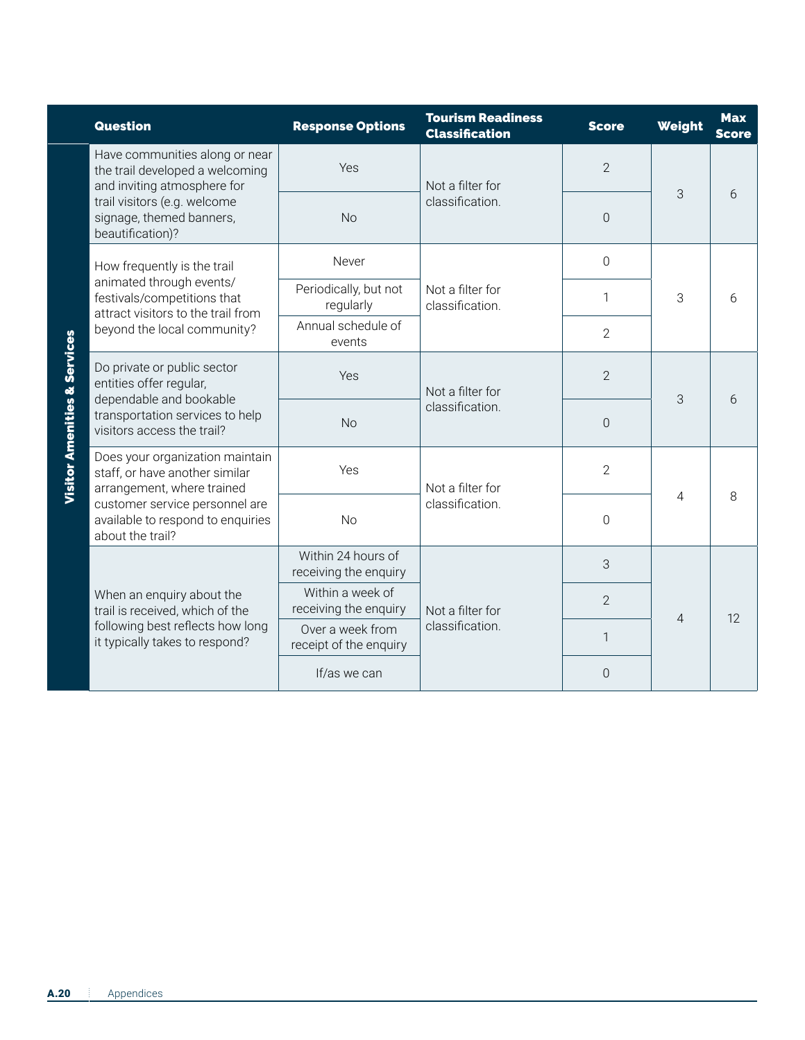| Question                                                                                         | <b>Response Options</b>                     | <b>Tourism Readiness</b><br><b>Classification</b> | <b>Score</b>   | Weight         | <b>Max</b><br><b>Score</b> |
|--------------------------------------------------------------------------------------------------|---------------------------------------------|---------------------------------------------------|----------------|----------------|----------------------------|
| Have communities along or near<br>the trail developed a welcoming<br>and inviting atmosphere for | Yes                                         | Not a filter for                                  | $\overline{2}$ | 3              | 6                          |
| trail visitors (e.g. welcome<br>signage, themed banners,<br>beautification)?                     | No                                          | classification.                                   | $\Omega$       |                |                            |
| How frequently is the trail                                                                      | Never                                       |                                                   | 0              | 3              |                            |
| animated through events/<br>festivals/competitions that<br>attract visitors to the trail from    | Periodically, but not<br>regularly          | Not a filter for<br>classification.               | $\mathbf{1}$   |                | 6                          |
| beyond the local community?                                                                      | Annual schedule of<br>events                |                                                   | $\overline{2}$ |                |                            |
| Do private or public sector<br>entities offer regular,<br>dependable and bookable                | Yes                                         | Not a filter for<br>classification.               | $\overline{2}$ | 3              | 6                          |
| transportation services to help<br>visitors access the trail?                                    | <b>No</b>                                   |                                                   | $\overline{0}$ |                |                            |
| Does your organization maintain<br>staff, or have another similar<br>arrangement, where trained  | Yes                                         | Not a filter for<br>classification.               | $\overline{2}$ |                |                            |
| customer service personnel are<br>available to respond to enquiries<br>about the trail?          | <b>No</b>                                   |                                                   | $\Omega$       | $\overline{4}$ | 8                          |
|                                                                                                  | Within 24 hours of<br>receiving the enquiry | Not a filter for<br>classification.               | 3              | 4              | 12                         |
| When an enquiry about the<br>trail is received, which of the                                     | Within a week of<br>receiving the enquiry   |                                                   | $\overline{2}$ |                |                            |
| following best reflects how long<br>it typically takes to respond?                               | Over a week from<br>receipt of the enquiry  |                                                   | 1              |                |                            |
|                                                                                                  | If/as we can                                |                                                   | $\Omega$       |                |                            |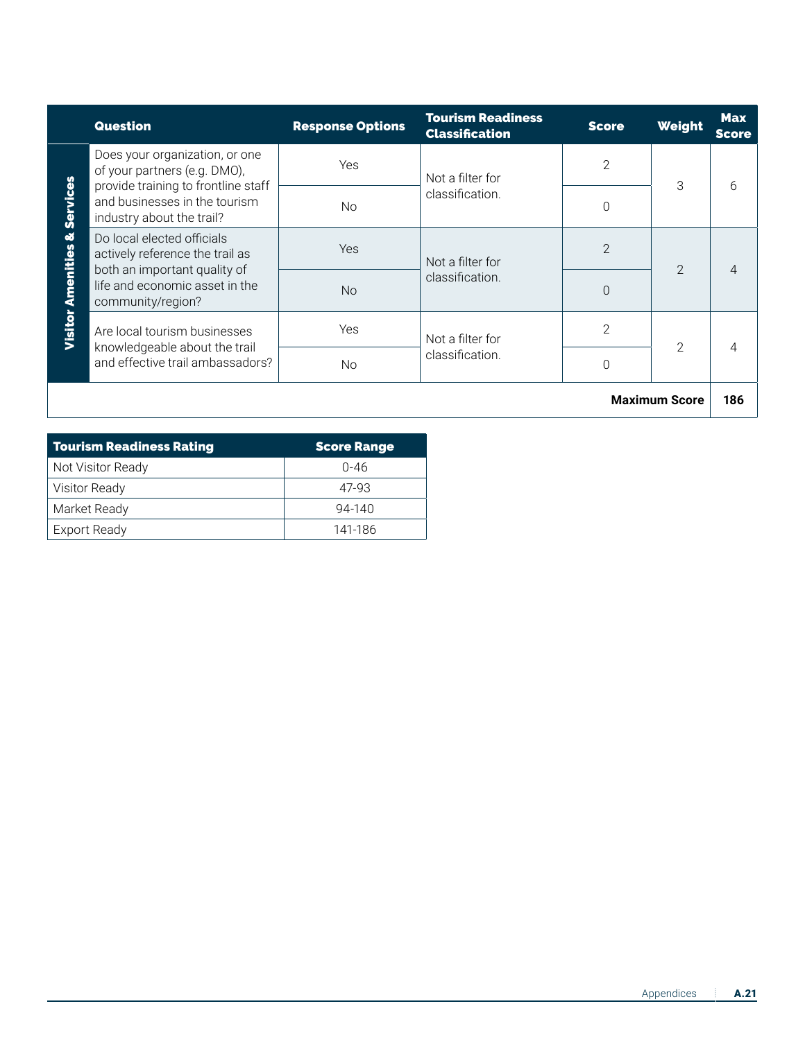|                                            | <b>Question</b>                                                                                                                                      | <b>Response Options</b>  | <b>Tourism Readiness</b><br><b>Classification</b> | <b>Score</b>   | Weight               | <b>Max</b><br><b>Score</b> |
|--------------------------------------------|------------------------------------------------------------------------------------------------------------------------------------------------------|--------------------------|---------------------------------------------------|----------------|----------------------|----------------------------|
| <b>Amenities &amp; Services</b><br>Visitor | Does your organization, or one<br>of your partners (e.g. DMO),<br>provide training to frontline staff                                                | Yes.<br>Not a filter for | $\overline{2}$                                    | 3              | 6                    |                            |
|                                            | and businesses in the tourism<br>industry about the trail?                                                                                           | <b>No</b>                | classification.                                   | $\Omega$       |                      |                            |
|                                            | Do local elected officials<br>actively reference the trail as<br>both an important quality of<br>life and economic asset in the<br>community/region? | <b>Yes</b>               | Not a filter for<br>classification.               | $\overline{2}$ | $\mathcal{P}$        | 4                          |
|                                            |                                                                                                                                                      | <b>No</b>                |                                                   | $\Omega$       |                      |                            |
|                                            | Are local tourism businesses<br>knowledgeable about the trail<br>and effective trail ambassadors?                                                    | <b>Yes</b>               | Not a filter for                                  | $\overline{2}$ | $\overline{2}$       | 4                          |
|                                            |                                                                                                                                                      | <b>No</b>                | classification.                                   | $\Omega$       |                      |                            |
|                                            |                                                                                                                                                      |                          |                                                   |                | <b>Maximum Score</b> | 186                        |

| <b>Tourism Readiness Rating</b> | <b>Score Range</b> |
|---------------------------------|--------------------|
| Not Visitor Ready               | Ი-46               |
| <b>Visitor Ready</b>            | 47-93              |
| Market Ready                    | $94 - 140$         |
| <b>Export Ready</b>             | 141-186            |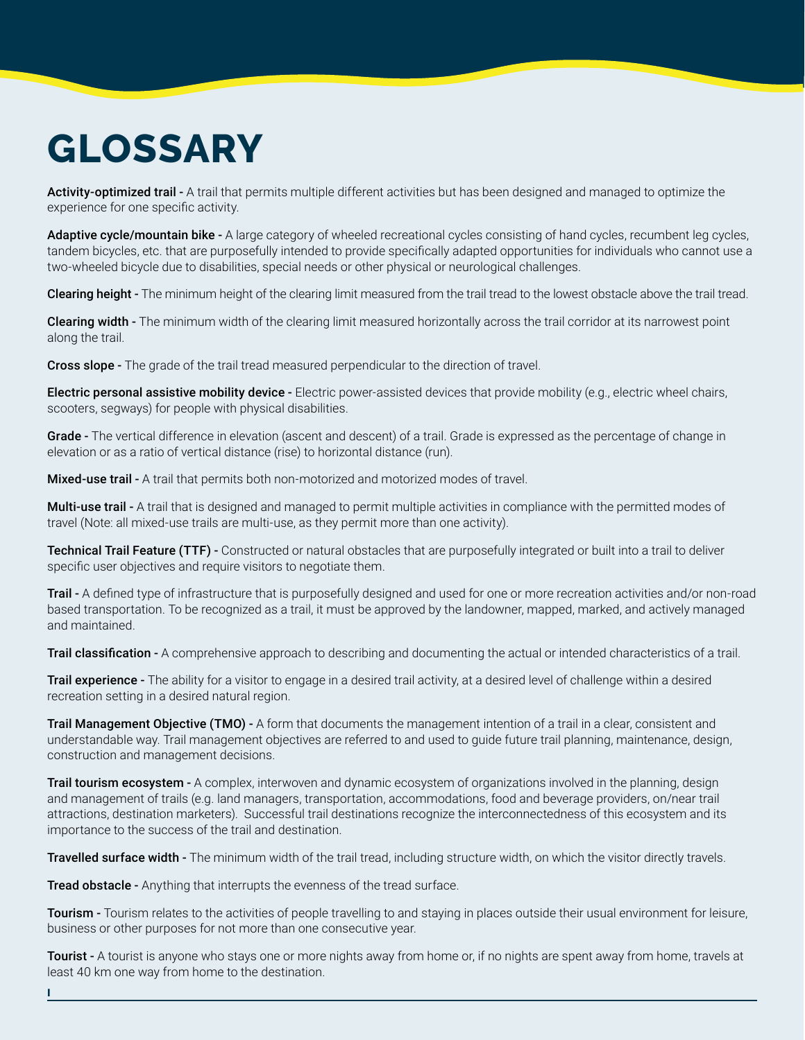# **GLOSSARY**

Activity-optimized trail - A trail that permits multiple different activities but has been designed and managed to optimize the experience for one specific activity.

Adaptive cycle/mountain bike - A large category of wheeled recreational cycles consisting of hand cycles, recumbent leg cycles, tandem bicycles, etc. that are purposefully intended to provide specifically adapted opportunities for individuals who cannot use a two-wheeled bicycle due to disabilities, special needs or other physical or neurological challenges.

Clearing height - The minimum height of the clearing limit measured from the trail tread to the lowest obstacle above the trail tread.

Clearing width - The minimum width of the clearing limit measured horizontally across the trail corridor at its narrowest point along the trail.

Cross slope - The grade of the trail tread measured perpendicular to the direction of travel.

Electric personal assistive mobility device - Electric power-assisted devices that provide mobility (e.g., electric wheel chairs, scooters, segways) for people with physical disabilities.

Grade - The vertical difference in elevation (ascent and descent) of a trail. Grade is expressed as the percentage of change in elevation or as a ratio of vertical distance (rise) to horizontal distance (run).

**Mixed-use trail -** A trail that permits both non-motorized and motorized modes of travel.

Multi-use trail - A trail that is designed and managed to permit multiple activities in compliance with the permitted modes of travel (Note: all mixed-use trails are multi-use, as they permit more than one activity).

Technical Trail Feature (TTF) - Constructed or natural obstacles that are purposefully integrated or built into a trail to deliver specific user objectives and require visitors to negotiate them.

Trail - A defined type of infrastructure that is purposefully designed and used for one or more recreation activities and/or non-road based transportation. To be recognized as a trail, it must be approved by the landowner, mapped, marked, and actively managed and maintained.

Trail classification - A comprehensive approach to describing and documenting the actual or intended characteristics of a trail.

Trail experience - The ability for a visitor to engage in a desired trail activity, at a desired level of challenge within a desired recreation setting in a desired natural region.

Trail Management Objective (TMO) - A form that documents the management intention of a trail in a clear, consistent and understandable way. Trail management objectives are referred to and used to guide future trail planning, maintenance, design, construction and management decisions.

**Trail tourism ecosystem** - A complex, interwoven and dynamic ecosystem of organizations involved in the planning, design and management of trails (e.g. land managers, transportation, accommodations, food and beverage providers, on/near trail attractions, destination marketers). Successful trail destinations recognize the interconnectedness of this ecosystem and its importance to the success of the trail and destination.

Travelled surface width - The minimum width of the trail tread, including structure width, on which the visitor directly travels.

**Tread obstacle -** Anything that interrupts the evenness of the tread surface.

I

Tourism - Tourism relates to the activities of people travelling to and staying in places outside their usual environment for leisure, business or other purposes for not more than one consecutive year.

Tourist - A tourist is anyone who stays one or more nights away from home or, if no nights are spent away from home, travels at least 40 km one way from home to the destination.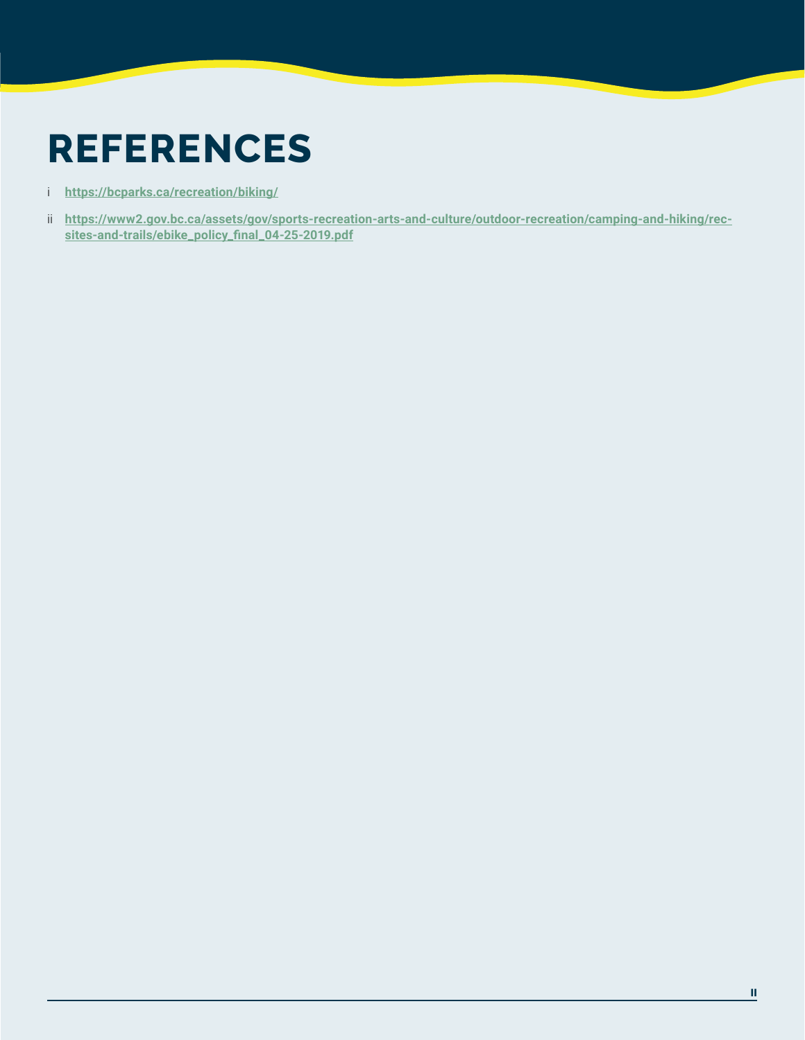# **REFERENCES**

- i **<https://bcparks.ca/recreation/biking/>**
- ii **[https://www2.gov.bc.ca/assets/gov/sports-recreation-arts-and-culture/outdoor-recreation/camping-and-hiking/rec](https://www2.gov.bc.ca/assets/gov/sports-recreation-arts-and-culture/outdoor-recreation/camping-and-hiking/rec-sites-and-trails/ebike_policy_final_04-25-2019.pdf)[sites-and-trails/ebike\\_policy\\_final\\_04-25-2019.pdf](https://www2.gov.bc.ca/assets/gov/sports-recreation-arts-and-culture/outdoor-recreation/camping-and-hiking/rec-sites-and-trails/ebike_policy_final_04-25-2019.pdf)**